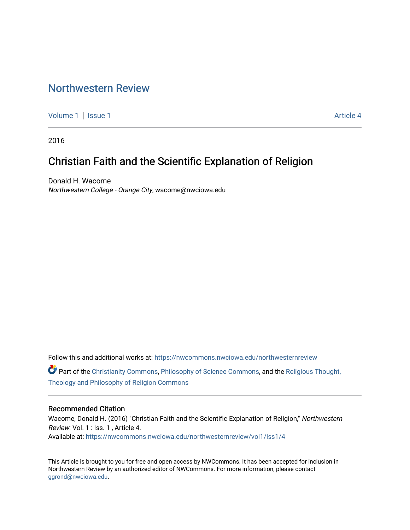# [Northwestern Review](https://nwcommons.nwciowa.edu/northwesternreview)

[Volume 1](https://nwcommons.nwciowa.edu/northwesternreview/vol1) | [Issue 1](https://nwcommons.nwciowa.edu/northwesternreview/vol1/iss1) Article 4

2016

# Christian Faith and the Scientific Explanation of Religion

Donald H. Wacome Northwestern College - Orange City, wacome@nwciowa.edu

Follow this and additional works at: [https://nwcommons.nwciowa.edu/northwesternreview](https://nwcommons.nwciowa.edu/northwesternreview?utm_source=nwcommons.nwciowa.edu%2Fnorthwesternreview%2Fvol1%2Fiss1%2F4&utm_medium=PDF&utm_campaign=PDFCoverPages) 

Part of the [Christianity Commons,](http://network.bepress.com/hgg/discipline/1181?utm_source=nwcommons.nwciowa.edu%2Fnorthwesternreview%2Fvol1%2Fiss1%2F4&utm_medium=PDF&utm_campaign=PDFCoverPages) [Philosophy of Science Commons](http://network.bepress.com/hgg/discipline/536?utm_source=nwcommons.nwciowa.edu%2Fnorthwesternreview%2Fvol1%2Fiss1%2F4&utm_medium=PDF&utm_campaign=PDFCoverPages), and the [Religious Thought,](http://network.bepress.com/hgg/discipline/544?utm_source=nwcommons.nwciowa.edu%2Fnorthwesternreview%2Fvol1%2Fiss1%2F4&utm_medium=PDF&utm_campaign=PDFCoverPages) [Theology and Philosophy of Religion Commons](http://network.bepress.com/hgg/discipline/544?utm_source=nwcommons.nwciowa.edu%2Fnorthwesternreview%2Fvol1%2Fiss1%2F4&utm_medium=PDF&utm_campaign=PDFCoverPages) 

## Recommended Citation

Wacome, Donald H. (2016) "Christian Faith and the Scientific Explanation of Religion," Northwestern Review: Vol. 1 : Iss. 1 , Article 4. Available at: [https://nwcommons.nwciowa.edu/northwesternreview/vol1/iss1/4](https://nwcommons.nwciowa.edu/northwesternreview/vol1/iss1/4?utm_source=nwcommons.nwciowa.edu%2Fnorthwesternreview%2Fvol1%2Fiss1%2F4&utm_medium=PDF&utm_campaign=PDFCoverPages)

This Article is brought to you for free and open access by NWCommons. It has been accepted for inclusion in Northwestern Review by an authorized editor of NWCommons. For more information, please contact [ggrond@nwciowa.edu.](mailto:ggrond@nwciowa.edu)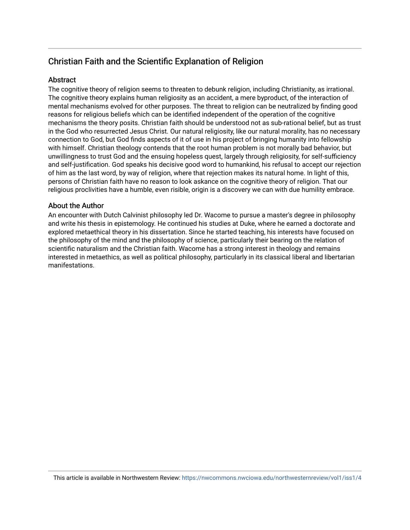## Christian Faith and the Scientific Explanation of Religion

## **Abstract**

The cognitive theory of religion seems to threaten to debunk religion, including Christianity, as irrational. The cognitive theory explains human religiosity as an accident, a mere byproduct, of the interaction of mental mechanisms evolved for other purposes. The threat to religion can be neutralized by finding good reasons for religious beliefs which can be identified independent of the operation of the cognitive mechanisms the theory posits. Christian faith should be understood not as sub-rational belief, but as trust in the God who resurrected Jesus Christ. Our natural religiosity, like our natural morality, has no necessary connection to God, but God finds aspects of it of use in his project of bringing humanity into fellowship with himself. Christian theology contends that the root human problem is not morally bad behavior, but unwillingness to trust God and the ensuing hopeless quest, largely through religiosity, for self-sufficiency and self-justification. God speaks his decisive good word to humankind, his refusal to accept our rejection of him as the last word, by way of religion, where that rejection makes its natural home. In light of this, persons of Christian faith have no reason to look askance on the cognitive theory of religion. That our religious proclivities have a humble, even risible, origin is a discovery we can with due humility embrace.

## About the Author

An encounter with Dutch Calvinist philosophy led Dr. Wacome to pursue a master's degree in philosophy and write his thesis in epistemology. He continued his studies at Duke, where he earned a doctorate and explored metaethical theory in his dissertation. Since he started teaching, his interests have focused on the philosophy of the mind and the philosophy of science, particularly their bearing on the relation of scientific naturalism and the Christian faith. Wacome has a strong interest in theology and remains interested in metaethics, as well as political philosophy, particularly in its classical liberal and libertarian manifestations.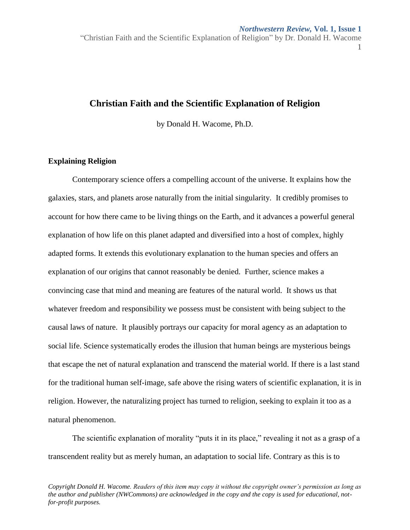"Christian Faith and the Scientific Explanation of Religion" by Dr. Donald H. Wacome 1

## **Christian Faith and the Scientific Explanation of Religion**

by Donald H. Wacome, Ph.D.

## **Explaining Religion**

Contemporary science offers a compelling account of the universe. It explains how the galaxies, stars, and planets arose naturally from the initial singularity. It credibly promises to account for how there came to be living things on the Earth, and it advances a powerful general explanation of how life on this planet adapted and diversified into a host of complex, highly adapted forms. It extends this evolutionary explanation to the human species and offers an explanation of our origins that cannot reasonably be denied. Further, science makes a convincing case that mind and meaning are features of the natural world. It shows us that whatever freedom and responsibility we possess must be consistent with being subject to the causal laws of nature. It plausibly portrays our capacity for moral agency as an adaptation to social life. Science systematically erodes the illusion that human beings are mysterious beings that escape the net of natural explanation and transcend the material world. If there is a last stand for the traditional human self-image, safe above the rising waters of scientific explanation, it is in religion. However, the naturalizing project has turned to religion, seeking to explain it too as a natural phenomenon.

The scientific explanation of morality "puts it in its place," revealing it not as a grasp of a transcendent reality but as merely human, an adaptation to social life. Contrary as this is to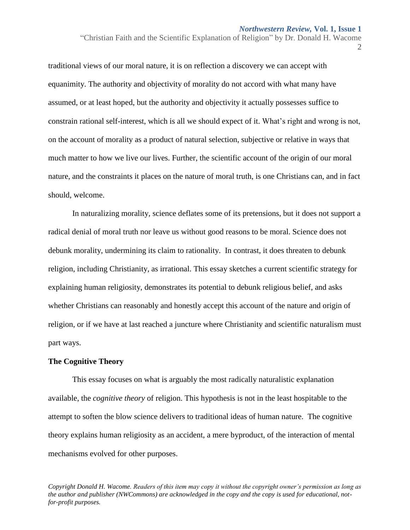"Christian Faith and the Scientific Explanation of Religion" by Dr. Donald H. Wacome

2

traditional views of our moral nature, it is on reflection a discovery we can accept with equanimity. The authority and objectivity of morality do not accord with what many have assumed, or at least hoped, but the authority and objectivity it actually possesses suffice to constrain rational self-interest, which is all we should expect of it. What's right and wrong is not, on the account of morality as a product of natural selection, subjective or relative in ways that much matter to how we live our lives. Further, the scientific account of the origin of our moral nature, and the constraints it places on the nature of moral truth, is one Christians can, and in fact should, welcome.

In naturalizing morality, science deflates some of its pretensions, but it does not support a radical denial of moral truth nor leave us without good reasons to be moral. Science does not debunk morality, undermining its claim to rationality. In contrast, it does threaten to debunk religion, including Christianity, as irrational. This essay sketches a current scientific strategy for explaining human religiosity, demonstrates its potential to debunk religious belief, and asks whether Christians can reasonably and honestly accept this account of the nature and origin of religion, or if we have at last reached a juncture where Christianity and scientific naturalism must part ways.

## **The Cognitive Theory**

This essay focuses on what is arguably the most radically naturalistic explanation available, the *cognitive theory* of religion. This hypothesis is not in the least hospitable to the attempt to soften the blow science delivers to traditional ideas of human nature. The cognitive theory explains human religiosity as an accident, a mere byproduct, of the interaction of mental mechanisms evolved for other purposes.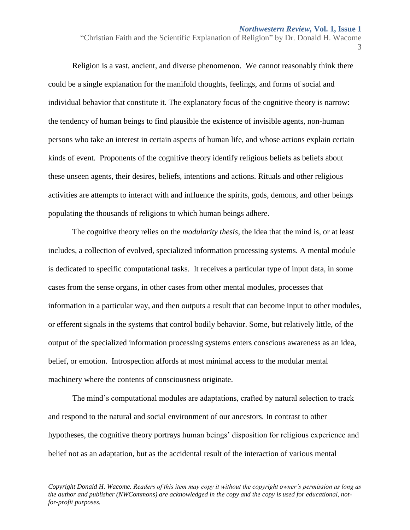"Christian Faith and the Scientific Explanation of Religion" by Dr. Donald H. Wacome

3

Religion is a vast, ancient, and diverse phenomenon. We cannot reasonably think there could be a single explanation for the manifold thoughts, feelings, and forms of social and individual behavior that constitute it. The explanatory focus of the cognitive theory is narrow: the tendency of human beings to find plausible the existence of invisible agents, non-human persons who take an interest in certain aspects of human life, and whose actions explain certain kinds of event. Proponents of the cognitive theory identify religious beliefs as beliefs about these unseen agents, their desires, beliefs, intentions and actions. Rituals and other religious activities are attempts to interact with and influence the spirits, gods, demons, and other beings populating the thousands of religions to which human beings adhere.

The cognitive theory relies on the *modularity thesis*, the idea that the mind is, or at least includes, a collection of evolved, specialized information processing systems. A mental module is dedicated to specific computational tasks. It receives a particular type of input data, in some cases from the sense organs, in other cases from other mental modules, processes that information in a particular way, and then outputs a result that can become input to other modules, or efferent signals in the systems that control bodily behavior. Some, but relatively little, of the output of the specialized information processing systems enters conscious awareness as an idea, belief, or emotion. Introspection affords at most minimal access to the modular mental machinery where the contents of consciousness originate.

The mind's computational modules are adaptations, crafted by natural selection to track and respond to the natural and social environment of our ancestors. In contrast to other hypotheses, the cognitive theory portrays human beings' disposition for religious experience and belief not as an adaptation, but as the accidental result of the interaction of various mental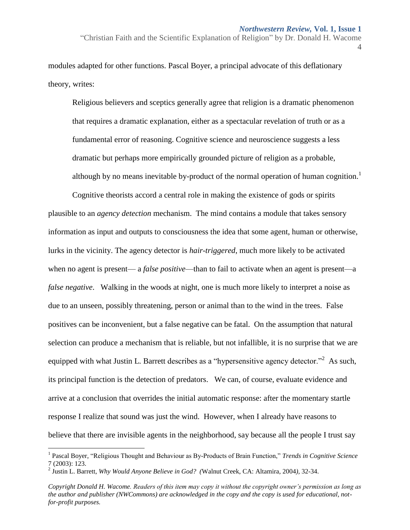"Christian Faith and the Scientific Explanation of Religion" by Dr. Donald H. Wacome 4

modules adapted for other functions. Pascal Boyer, a principal advocate of this deflationary theory, writes:

Religious believers and sceptics generally agree that religion is a dramatic phenomenon that requires a dramatic explanation, either as a spectacular revelation of truth or as a fundamental error of reasoning. Cognitive science and neuroscience suggests a less dramatic but perhaps more empirically grounded picture of religion as a probable, although by no means inevitable by-product of the normal operation of human cognition.<sup>1</sup>

Cognitive theorists accord a central role in making the existence of gods or spirits plausible to an *agency detection* mechanism. The mind contains a module that takes sensory information as input and outputs to consciousness the idea that some agent, human or otherwise, lurks in the vicinity. The agency detector is *hair-triggered*, much more likely to be activated when no agent is present— a *false positive*—than to fail to activate when an agent is present—a *false negative*. Walking in the woods at night, one is much more likely to interpret a noise as due to an unseen, possibly threatening, person or animal than to the wind in the trees. False positives can be inconvenient, but a false negative can be fatal. On the assumption that natural selection can produce a mechanism that is reliable, but not infallible, it is no surprise that we are equipped with what Justin L. Barrett describes as a "hypersensitive agency detector."<sup>2</sup> As such, its principal function is the detection of predators. We can, of course, evaluate evidence and arrive at a conclusion that overrides the initial automatic response: after the momentary startle response I realize that sound was just the wind. However, when I already have reasons to believe that there are invisible agents in the neighborhood, say because all the people I trust say

 $\overline{a}$ 

<sup>&</sup>lt;sup>1</sup> Pascal Boyer, "Religious Thought and Behaviour as By-Products of Brain Function," *Trends in Cognitive Science* 7 (2003): 123.

<sup>2</sup> Justin L. Barrett, *Why Would Anyone Believe in God? (*Walnut Creek, CA: Altamira*,* 2004*),* 32-34.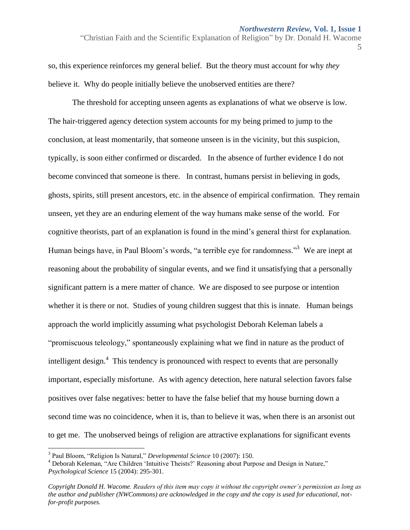"Christian Faith and the Scientific Explanation of Religion" by Dr. Donald H. Wacome

5

so, this experience reinforces my general belief. But the theory must account for why *they* believe it. Why do people initially believe the unobserved entities are there?

The threshold for accepting unseen agents as explanations of what we observe is low. The hair-triggered agency detection system accounts for my being primed to jump to the conclusion, at least momentarily, that someone unseen is in the vicinity, but this suspicion, typically, is soon either confirmed or discarded. In the absence of further evidence I do not become convinced that someone is there. In contrast, humans persist in believing in gods, ghosts, spirits, still present ancestors, etc. in the absence of empirical confirmation. They remain unseen, yet they are an enduring element of the way humans make sense of the world. For cognitive theorists, part of an explanation is found in the mind's general thirst for explanation. Human beings have, in Paul Bloom's words, "a terrible eye for randomness."<sup>3</sup> We are inept at reasoning about the probability of singular events, and we find it unsatisfying that a personally significant pattern is a mere matter of chance. We are disposed to see purpose or intention whether it is there or not. Studies of young children suggest that this is innate. Human beings approach the world implicitly assuming what psychologist Deborah Keleman labels a "promiscuous teleology," spontaneously explaining what we find in nature as the product of intelligent design.<sup>4</sup> This tendency is pronounced with respect to events that are personally important, especially misfortune. As with agency detection, here natural selection favors false positives over false negatives: better to have the false belief that my house burning down a second time was no coincidence, when it is, than to believe it was, when there is an arsonist out to get me. The unobserved beings of religion are attractive explanations for significant events

<sup>3</sup> Paul Bloom, "Religion Is Natural," *Developmental Science* 10 (2007): 150.

<sup>&</sup>lt;sup>4</sup> Deborah Keleman, "Are Children 'Intuitive Theists?' Reasoning about Purpose and Design in Nature," *Psychological Science* 15 (2004): 295-301.

*Copyright Donald H. Wacome. Readers of this item may copy it without the copyright owner's permission as long as the author and publisher (NWCommons) are acknowledged in the copy and the copy is used for educational, notfor-profit purposes.*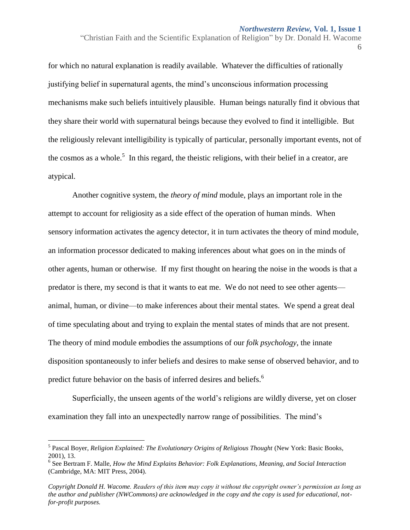"Christian Faith and the Scientific Explanation of Religion" by Dr. Donald H. Wacome

6

for which no natural explanation is readily available. Whatever the difficulties of rationally justifying belief in supernatural agents, the mind's unconscious information processing mechanisms make such beliefs intuitively plausible. Human beings naturally find it obvious that they share their world with supernatural beings because they evolved to find it intelligible. But the religiously relevant intelligibility is typically of particular, personally important events, not of the cosmos as a whole.<sup>5</sup> In this regard, the theistic religions, with their belief in a creator, are atypical.

Another cognitive system, the *theory of mind* module, plays an important role in the attempt to account for religiosity as a side effect of the operation of human minds. When sensory information activates the agency detector, it in turn activates the theory of mind module, an information processor dedicated to making inferences about what goes on in the minds of other agents, human or otherwise. If my first thought on hearing the noise in the woods is that a predator is there, my second is that it wants to eat me. We do not need to see other agents animal, human, or divine—to make inferences about their mental states. We spend a great deal of time speculating about and trying to explain the mental states of minds that are not present. The theory of mind module embodies the assumptions of our *folk psychology*, the innate disposition spontaneously to infer beliefs and desires to make sense of observed behavior, and to predict future behavior on the basis of inferred desires and beliefs.<sup>6</sup>

Superficially, the unseen agents of the world's religions are wildly diverse, yet on closer examination they fall into an unexpectedly narrow range of possibilities. The mind's

<sup>&</sup>lt;sup>5</sup> Pascal Boyer, *Religion Explained: The Evolutionary Origins of Religious Thought* (New York: Basic Books, 2001)*,* 13.

<sup>6</sup> See Bertram F. Malle, *How the Mind Explains Behavior: Folk Explanations, Meaning, and Social Interaction* (Cambridge, MA: MIT Press, 2004).

*Copyright Donald H. Wacome. Readers of this item may copy it without the copyright owner's permission as long as the author and publisher (NWCommons) are acknowledged in the copy and the copy is used for educational, notfor-profit purposes.*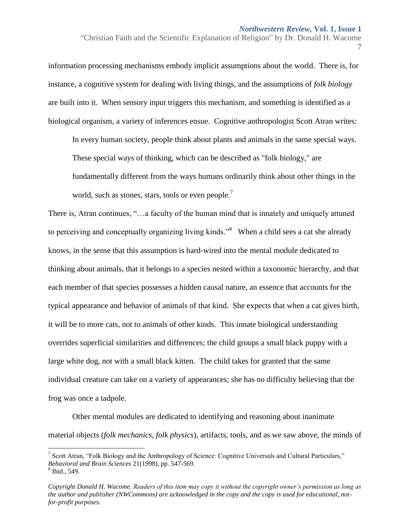"Christian Faith and the Scientific Explanation of Religion" by Dr. Donald H. Wacome 7

information processing mechanisms embody implicit assumptions about the world. There is, for instance, a cognitive system for dealing with living things, and the assumptions of *folk biology* are built into it. When sensory input triggers this mechanism, and something is identified as a biological organism, a variety of inferences ensue. Cognitive anthropologist Scott Atran writes:

In every human society, people think about plants and animals in the same special ways. These special ways of thinking, which can be described as "folk biology," are fundamentally different from the ways humans ordinarily think about other things in the world, such as stones, stars, tools or even people.<sup>7</sup>

There is, Atran continues, "…a faculty of the human mind that is innately and uniquely attuned to perceiving and conceptually organizing living kinds.<sup>38</sup> When a child sees a cat she already knows, in the sense that this assumption is hard-wired into the mental module dedicated to thinking about animals, that it belongs to a species nested within a taxonomic hierarchy, and that each member of that species possesses a hidden causal nature, an essence that accounts for the typical appearance and behavior of animals of that kind. She expects that when a cat gives birth, it will be to more cats, not to animals of other kinds. This innate biological understanding overrides superficial similarities and differences; the child groups a small black puppy with a large white dog, not with a small black kitten. The child takes for granted that the same individual creature can take on a variety of appearances; she has no difficulty believing that the frog was once a tadpole.

Other mental modules are dedicated to identifying and reasoning about inanimate material objects (*folk mechanics*, *folk physics*), artifacts, tools, and as we saw above, the minds of

<sup>&</sup>lt;sup>7</sup> Scott Atran, "Folk Biology and the Anthropology of Science: Cognitive Universals and Cultural Particulars," *Behavioral and Brain Sciences* 21(1998), pp. 547-569. 8 Ibid., 549.

*Copyright Donald H. Wacome. Readers of this item may copy it without the copyright owner's permission as long as the author and publisher (NWCommons) are acknowledged in the copy and the copy is used for educational, notfor-profit purposes.*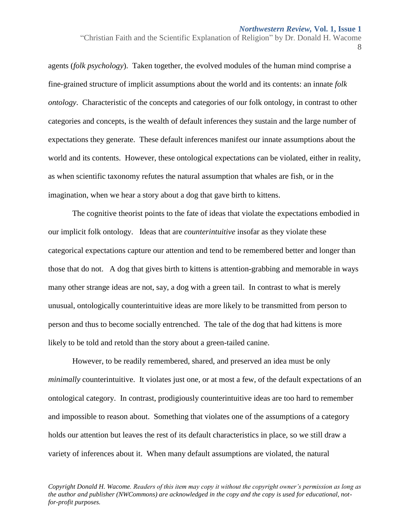"Christian Faith and the Scientific Explanation of Religion" by Dr. Donald H. Wacome

8

agents (*folk psychology*). Taken together, the evolved modules of the human mind comprise a fine-grained structure of implicit assumptions about the world and its contents: an innate *folk ontology*. Characteristic of the concepts and categories of our folk ontology, in contrast to other categories and concepts, is the wealth of default inferences they sustain and the large number of expectations they generate. These default inferences manifest our innate assumptions about the world and its contents. However, these ontological expectations can be violated, either in reality, as when scientific taxonomy refutes the natural assumption that whales are fish, or in the imagination, when we hear a story about a dog that gave birth to kittens.

The cognitive theorist points to the fate of ideas that violate the expectations embodied in our implicit folk ontology. Ideas that are *counterintuitive* insofar as they violate these categorical expectations capture our attention and tend to be remembered better and longer than those that do not. A dog that gives birth to kittens is attention-grabbing and memorable in ways many other strange ideas are not, say, a dog with a green tail. In contrast to what is merely unusual, ontologically counterintuitive ideas are more likely to be transmitted from person to person and thus to become socially entrenched. The tale of the dog that had kittens is more likely to be told and retold than the story about a green-tailed canine.

However, to be readily remembered, shared, and preserved an idea must be only *minimally* counterintuitive. It violates just one, or at most a few, of the default expectations of an ontological category. In contrast, prodigiously counterintuitive ideas are too hard to remember and impossible to reason about. Something that violates one of the assumptions of a category holds our attention but leaves the rest of its default characteristics in place, so we still draw a variety of inferences about it. When many default assumptions are violated, the natural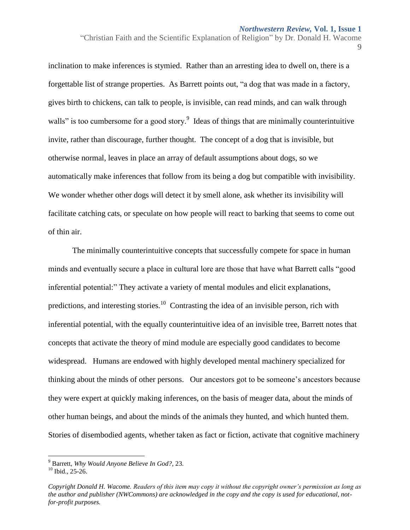"Christian Faith and the Scientific Explanation of Religion" by Dr. Donald H. Wacome

9

inclination to make inferences is stymied. Rather than an arresting idea to dwell on, there is a forgettable list of strange properties. As Barrett points out, "a dog that was made in a factory, gives birth to chickens, can talk to people, is invisible, can read minds, and can walk through walls" is too cumbersome for a good story.<sup>9</sup> Ideas of things that are minimally counterintuitive invite, rather than discourage, further thought. The concept of a dog that is invisible, but otherwise normal, leaves in place an array of default assumptions about dogs, so we automatically make inferences that follow from its being a dog but compatible with invisibility. We wonder whether other dogs will detect it by smell alone, ask whether its invisibility will facilitate catching cats, or speculate on how people will react to barking that seems to come out of thin air.

The minimally counterintuitive concepts that successfully compete for space in human minds and eventually secure a place in cultural lore are those that have what Barrett calls "good inferential potential:" They activate a variety of mental modules and elicit explanations, predictions, and interesting stories.<sup>10</sup> Contrasting the idea of an invisible person, rich with inferential potential, with the equally counterintuitive idea of an invisible tree, Barrett notes that concepts that activate the theory of mind module are especially good candidates to become widespread. Humans are endowed with highly developed mental machinery specialized for thinking about the minds of other persons. Our ancestors got to be someone's ancestors because they were expert at quickly making inferences, on the basis of meager data, about the minds of other human beings, and about the minds of the animals they hunted, and which hunted them. Stories of disembodied agents, whether taken as fact or fiction, activate that cognitive machinery

<sup>9</sup> Barrett, *Why Would Anyone Believe In God?,* 23.

 $10$  Ibid., 25-26.

*Copyright Donald H. Wacome. Readers of this item may copy it without the copyright owner's permission as long as the author and publisher (NWCommons) are acknowledged in the copy and the copy is used for educational, notfor-profit purposes.*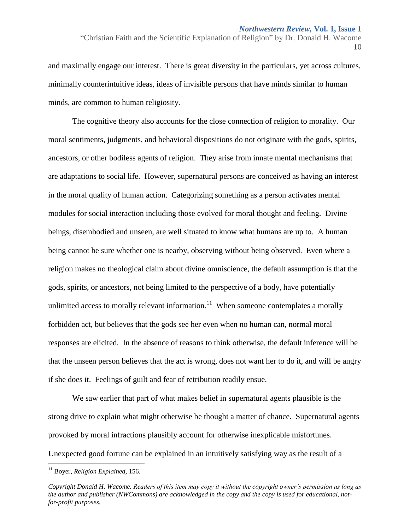and maximally engage our interest. There is great diversity in the particulars, yet across cultures, minimally counterintuitive ideas, ideas of invisible persons that have minds similar to human minds, are common to human religiosity.

The cognitive theory also accounts for the close connection of religion to morality. Our moral sentiments, judgments, and behavioral dispositions do not originate with the gods, spirits, ancestors, or other bodiless agents of religion. They arise from innate mental mechanisms that are adaptations to social life. However, supernatural persons are conceived as having an interest in the moral quality of human action. Categorizing something as a person activates mental modules for social interaction including those evolved for moral thought and feeling. Divine beings, disembodied and unseen, are well situated to know what humans are up to. A human being cannot be sure whether one is nearby, observing without being observed. Even where a religion makes no theological claim about divine omniscience, the default assumption is that the gods, spirits, or ancestors, not being limited to the perspective of a body, have potentially unlimited access to morally relevant information.<sup>11</sup> When someone contemplates a morally forbidden act, but believes that the gods see her even when no human can, normal moral responses are elicited. In the absence of reasons to think otherwise, the default inference will be that the unseen person believes that the act is wrong, does not want her to do it, and will be angry if she does it. Feelings of guilt and fear of retribution readily ensue.

We saw earlier that part of what makes belief in supernatural agents plausible is the strong drive to explain what might otherwise be thought a matter of chance. Supernatural agents provoked by moral infractions plausibly account for otherwise inexplicable misfortunes. Unexpected good fortune can be explained in an intuitively satisfying way as the result of a

 $\overline{a}$ 

<sup>&</sup>quot;Christian Faith and the Scientific Explanation of Religion" by Dr. Donald H. Wacome 10

<sup>11</sup> Boyer, *Religion Explained,* 156.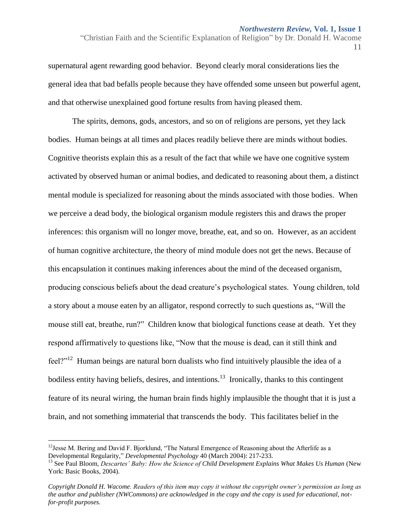"Christian Faith and the Scientific Explanation of Religion" by Dr. Donald H. Wacome 11

supernatural agent rewarding good behavior. Beyond clearly moral considerations lies the general idea that bad befalls people because they have offended some unseen but powerful agent, and that otherwise unexplained good fortune results from having pleased them.

The spirits, demons, gods, ancestors, and so on of religions are persons, yet they lack bodies. Human beings at all times and places readily believe there are minds without bodies. Cognitive theorists explain this as a result of the fact that while we have one cognitive system activated by observed human or animal bodies, and dedicated to reasoning about them, a distinct mental module is specialized for reasoning about the minds associated with those bodies. When we perceive a dead body, the biological organism module registers this and draws the proper inferences: this organism will no longer move, breathe, eat, and so on. However, as an accident of human cognitive architecture, the theory of mind module does not get the news. Because of this encapsulation it continues making inferences about the mind of the deceased organism, producing conscious beliefs about the dead creature's psychological states. Young children, told a story about a mouse eaten by an alligator, respond correctly to such questions as, "Will the mouse still eat, breathe, run?" Children know that biological functions cease at death. Yet they respond affirmatively to questions like, "Now that the mouse is dead, can it still think and feel?"<sup>12</sup> Human beings are natural born dualists who find intuitively plausible the idea of a bodiless entity having beliefs, desires, and intentions.<sup>13</sup> Ironically, thanks to this contingent feature of its neural wiring, the human brain finds highly implausible the thought that it is just a brain, and not something immaterial that transcends the body. This facilitates belief in the

<sup>&</sup>lt;sup>12</sup> Jesse M. Bering and David F. Bjorklund, "The Natural Emergence of Reasoning about the Afterlife as a Developmental Regularity," *Developmental Psychology* 40 (March 2004): 217-233.

<sup>&</sup>lt;sup>13</sup> See Paul Bloom, *Descartes' Baby: How the Science of Child Development Explains What Makes Us Human* (New York: Basic Books, 2004).

*Copyright Donald H. Wacome. Readers of this item may copy it without the copyright owner's permission as long as the author and publisher (NWCommons) are acknowledged in the copy and the copy is used for educational, notfor-profit purposes.*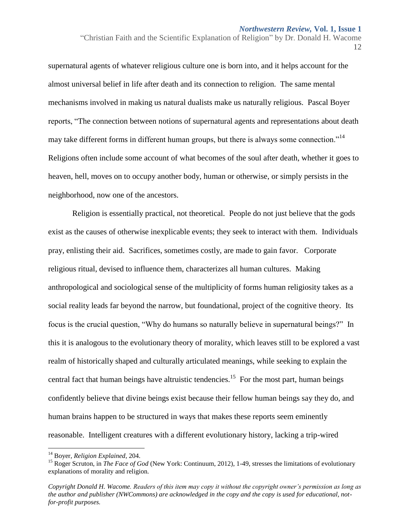"Christian Faith and the Scientific Explanation of Religion" by Dr. Donald H. Wacome 12

supernatural agents of whatever religious culture one is born into, and it helps account for the almost universal belief in life after death and its connection to religion. The same mental mechanisms involved in making us natural dualists make us naturally religious. Pascal Boyer reports, "The connection between notions of supernatural agents and representations about death may take different forms in different human groups, but there is always some connection."<sup>14</sup> Religions often include some account of what becomes of the soul after death, whether it goes to heaven, hell, moves on to occupy another body, human or otherwise, or simply persists in the neighborhood, now one of the ancestors.

Religion is essentially practical, not theoretical. People do not just believe that the gods exist as the causes of otherwise inexplicable events; they seek to interact with them. Individuals pray, enlisting their aid. Sacrifices, sometimes costly, are made to gain favor. Corporate religious ritual, devised to influence them, characterizes all human cultures. Making anthropological and sociological sense of the multiplicity of forms human religiosity takes as a social reality leads far beyond the narrow, but foundational, project of the cognitive theory. Its focus is the crucial question, "Why do humans so naturally believe in supernatural beings?" In this it is analogous to the evolutionary theory of morality, which leaves still to be explored a vast realm of historically shaped and culturally articulated meanings, while seeking to explain the central fact that human beings have altruistic tendencies.<sup>15</sup> For the most part, human beings confidently believe that divine beings exist because their fellow human beings say they do, and human brains happen to be structured in ways that makes these reports seem eminently reasonable. Intelligent creatures with a different evolutionary history, lacking a trip-wired

 $\overline{a}$ 

<sup>14</sup> Boyer, *Religion Explained*, 204.

<sup>&</sup>lt;sup>15</sup> Roger Scruton, in *The Face of God* (New York: Continuum, 2012), 1-49, stresses the limitations of evolutionary explanations of morality and religion.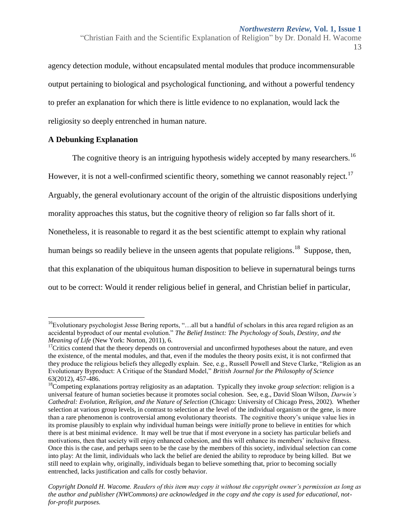"Christian Faith and the Scientific Explanation of Religion" by Dr. Donald H. Wacome 13

agency detection module, without encapsulated mental modules that produce incommensurable output pertaining to biological and psychological functioning, and without a powerful tendency to prefer an explanation for which there is little evidence to no explanation, would lack the religiosity so deeply entrenched in human nature.

## **A Debunking Explanation**

 $\overline{a}$ 

The cognitive theory is an intriguing hypothesis widely accepted by many researchers.<sup>16</sup> However, it is not a well-confirmed scientific theory, something we cannot reasonably reject.<sup>17</sup> Arguably, the general evolutionary account of the origin of the altruistic dispositions underlying morality approaches this status, but the cognitive theory of religion so far falls short of it. Nonetheless, it is reasonable to regard it as the best scientific attempt to explain why rational human beings so readily believe in the unseen agents that populate religions.<sup>18</sup> Suppose, then, that this explanation of the ubiquitous human disposition to believe in supernatural beings turns out to be correct: Would it render religious belief in general, and Christian belief in particular,

<sup>&</sup>lt;sup>16</sup>Evolutionary psychologist Jesse Bering reports, "...all but a handful of scholars in this area regard religion as an accidental byproduct of our mental evolution." *The Belief Instinct: The Psychology of Souls, Destiny, and the Meaning of Life* (New York: Norton, 2011), 6.

 $17$ Critics contend that the theory depends on controversial and unconfirmed hypotheses about the nature, and even the existence, of the mental modules, and that, even if the modules the theory posits exist, it is not confirmed that they produce the religious beliefs they allegedly explain. See, e.g., Russell Powell and Steve Clarke, "Religion as an Evolutionary Byproduct: A Critique of the Standard Model," *British Journal for the Philosophy of Science* 63(2012), 457-486.

<sup>18</sup>Competing explanations portray religiosity as an adaptation. Typically they invoke *group selection*: religion is a universal feature of human societies because it promotes social cohesion. See, e.g., David Sloan Wilson, *Darwin's Cathedral: Evolution, Religion, and the Nature of Selection* (Chicago: University of Chicago Press, 2002). Whether selection at various group levels, in contrast to selection at the level of the individual organism or the gene, is more than a rare phenomenon is controversial among evolutionary theorists. The cognitive theory's unique value lies in its promise plausibly to explain why individual human beings were *initially* prone to believe in entities for which there is at best minimal evidence. It may well be true that if most everyone in a society has particular beliefs and motivations, then that society will enjoy enhanced cohesion, and this will enhance its members' inclusive fitness. Once this is the case, and perhaps seen to be the case by the members of this society, individual selection can come into play: At the limit, individuals who lack the belief are denied the ability to reproduce by being killed. But we still need to explain why, originally, individuals began to believe something that, prior to becoming socially entrenched, lacks justification and calls for costly behavior.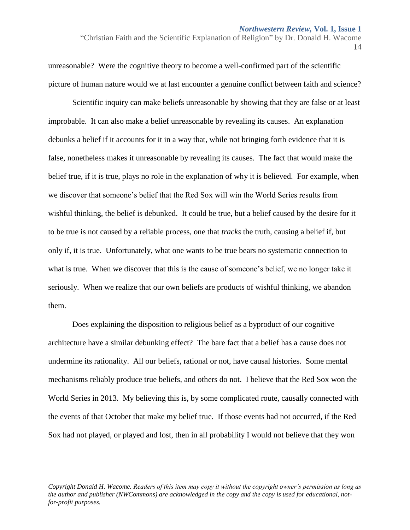"Christian Faith and the Scientific Explanation of Religion" by Dr. Donald H. Wacome 14

unreasonable? Were the cognitive theory to become a well-confirmed part of the scientific picture of human nature would we at last encounter a genuine conflict between faith and science?

Scientific inquiry can make beliefs unreasonable by showing that they are false or at least improbable. It can also make a belief unreasonable by revealing its causes. An explanation debunks a belief if it accounts for it in a way that, while not bringing forth evidence that it is false, nonetheless makes it unreasonable by revealing its causes. The fact that would make the belief true, if it is true, plays no role in the explanation of why it is believed. For example, when we discover that someone's belief that the Red Sox will win the World Series results from wishful thinking, the belief is debunked. It could be true, but a belief caused by the desire for it to be true is not caused by a reliable process, one that *tracks* the truth, causing a belief if, but only if, it is true. Unfortunately, what one wants to be true bears no systematic connection to what is true. When we discover that this is the cause of someone's belief, we no longer take it seriously. When we realize that our own beliefs are products of wishful thinking, we abandon them.

Does explaining the disposition to religious belief as a byproduct of our cognitive architecture have a similar debunking effect? The bare fact that a belief has a cause does not undermine its rationality. All our beliefs, rational or not, have causal histories. Some mental mechanisms reliably produce true beliefs, and others do not. I believe that the Red Sox won the World Series in 2013. My believing this is, by some complicated route, causally connected with the events of that October that make my belief true. If those events had not occurred, if the Red Sox had not played, or played and lost, then in all probability I would not believe that they won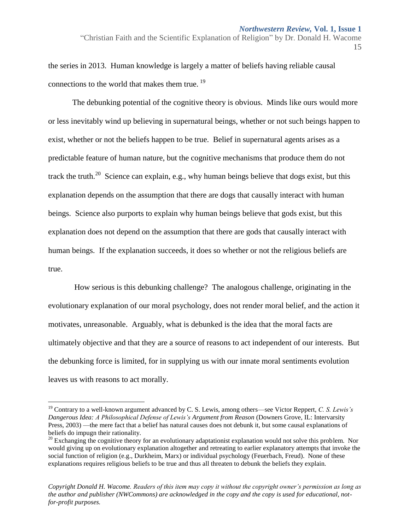"Christian Faith and the Scientific Explanation of Religion" by Dr. Donald H. Wacome 15

the series in 2013. Human knowledge is largely a matter of beliefs having reliable causal connections to the world that makes them true.<sup>19</sup>

The debunking potential of the cognitive theory is obvious. Minds like ours would more or less inevitably wind up believing in supernatural beings, whether or not such beings happen to exist, whether or not the beliefs happen to be true. Belief in supernatural agents arises as a predictable feature of human nature, but the cognitive mechanisms that produce them do not track the truth.<sup>20</sup> Science can explain, e.g., why human beings believe that dogs exist, but this explanation depends on the assumption that there are dogs that causally interact with human beings. Science also purports to explain why human beings believe that gods exist, but this explanation does not depend on the assumption that there are gods that causally interact with human beings. If the explanation succeeds, it does so whether or not the religious beliefs are true.

How serious is this debunking challenge? The analogous challenge, originating in the evolutionary explanation of our moral psychology, does not render moral belief, and the action it motivates, unreasonable. Arguably, what is debunked is the idea that the moral facts are ultimately objective and that they are a source of reasons to act independent of our interests. But the debunking force is limited, for in supplying us with our innate moral sentiments evolution leaves us with reasons to act morally.

 $\overline{a}$ 

<sup>19</sup> Contrary to a well-known argument advanced by C. S. Lewis, among others—see Victor Reppert, *C. S. Lewis's Dangerous Idea: A Philosophical Defense of Lewis's Argument from Reason* (Downers Grove, IL: Intervarsity Press, 2003) —the mere fact that a belief has natural causes does not debunk it, but some causal explanations of beliefs do impugn their rationality.

<sup>&</sup>lt;sup>20</sup> Exchanging the cognitive theory for an evolutionary adaptationist explanation would not solve this problem. Nor would giving up on evolutionary explanation altogether and retreating to earlier explanatory attempts that invoke the social function of religion (e.g., Durkheim, Marx) or individual psychology (Feuerbach, Freud). None of these explanations requires religious beliefs to be true and thus all threaten to debunk the beliefs they explain.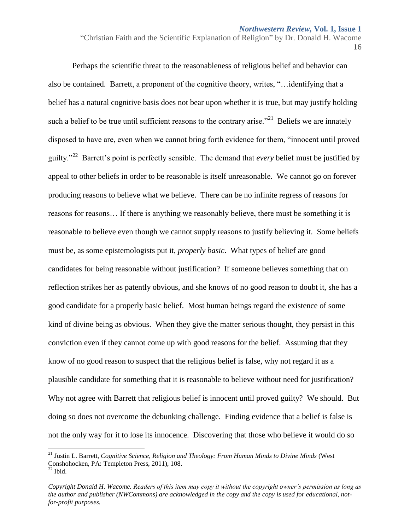"Christian Faith and the Scientific Explanation of Religion" by Dr. Donald H. Wacome 16

Perhaps the scientific threat to the reasonableness of religious belief and behavior can also be contained. Barrett, a proponent of the cognitive theory, writes, "…identifying that a belief has a natural cognitive basis does not bear upon whether it is true, but may justify holding such a belief to be true until sufficient reasons to the contrary arise."<sup>21</sup> Beliefs we are innately disposed to have are, even when we cannot bring forth evidence for them, "innocent until proved guilty."<sup>22</sup> Barrett's point is perfectly sensible. The demand that *every* belief must be justified by appeal to other beliefs in order to be reasonable is itself unreasonable. We cannot go on forever producing reasons to believe what we believe. There can be no infinite regress of reasons for reasons for reasons… If there is anything we reasonably believe, there must be something it is reasonable to believe even though we cannot supply reasons to justify believing it. Some beliefs must be, as some epistemologists put it, *properly basic*. What types of belief are good candidates for being reasonable without justification? If someone believes something that on reflection strikes her as patently obvious, and she knows of no good reason to doubt it, she has a good candidate for a properly basic belief. Most human beings regard the existence of some kind of divine being as obvious. When they give the matter serious thought, they persist in this conviction even if they cannot come up with good reasons for the belief. Assuming that they know of no good reason to suspect that the religious belief is false, why not regard it as a plausible candidate for something that it is reasonable to believe without need for justification? Why not agree with Barrett that religious belief is innocent until proved guilty? We should. But doing so does not overcome the debunking challenge. Finding evidence that a belief is false is not the only way for it to lose its innocence. Discovering that those who believe it would do so

<sup>21</sup> Justin L. Barrett, *Cognitive Science*, *Religion and Theology: From Human Minds to Divine Minds* (West Conshohocken, PA: Templeton Press, 2011), 108.  $22$  Ibid.

*Copyright Donald H. Wacome. Readers of this item may copy it without the copyright owner's permission as long as the author and publisher (NWCommons) are acknowledged in the copy and the copy is used for educational, notfor-profit purposes.*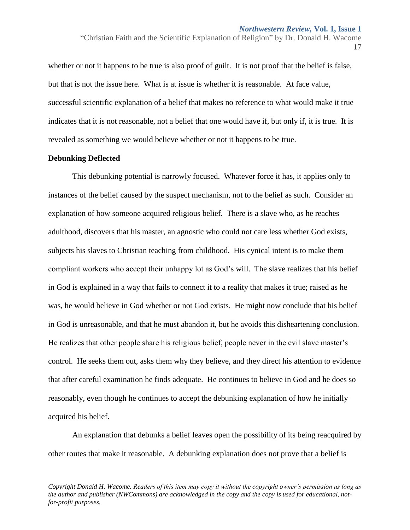whether or not it happens to be true is also proof of guilt. It is not proof that the belief is false, but that is not the issue here. What is at issue is whether it is reasonable. At face value, successful scientific explanation of a belief that makes no reference to what would make it true indicates that it is not reasonable, not a belief that one would have if, but only if, it is true. It is revealed as something we would believe whether or not it happens to be true.

## **Debunking Deflected**

This debunking potential is narrowly focused. Whatever force it has, it applies only to instances of the belief caused by the suspect mechanism, not to the belief as such. Consider an explanation of how someone acquired religious belief. There is a slave who, as he reaches adulthood, discovers that his master, an agnostic who could not care less whether God exists, subjects his slaves to Christian teaching from childhood. His cynical intent is to make them compliant workers who accept their unhappy lot as God's will. The slave realizes that his belief in God is explained in a way that fails to connect it to a reality that makes it true; raised as he was, he would believe in God whether or not God exists. He might now conclude that his belief in God is unreasonable, and that he must abandon it, but he avoids this disheartening conclusion. He realizes that other people share his religious belief, people never in the evil slave master's control. He seeks them out, asks them why they believe, and they direct his attention to evidence that after careful examination he finds adequate. He continues to believe in God and he does so reasonably, even though he continues to accept the debunking explanation of how he initially acquired his belief.

An explanation that debunks a belief leaves open the possibility of its being reacquired by other routes that make it reasonable. A debunking explanation does not prove that a belief is

<sup>&</sup>quot;Christian Faith and the Scientific Explanation of Religion" by Dr. Donald H. Wacome 17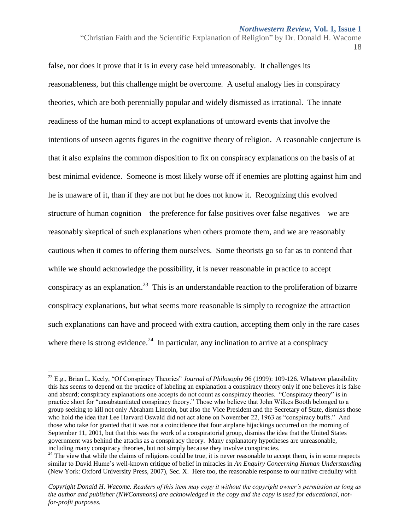"Christian Faith and the Scientific Explanation of Religion" by Dr. Donald H. Wacome 18

false, nor does it prove that it is in every case held unreasonably. It challenges its reasonableness, but this challenge might be overcome. A useful analogy lies in conspiracy theories, which are both perennially popular and widely dismissed as irrational. The innate readiness of the human mind to accept explanations of untoward events that involve the intentions of unseen agents figures in the cognitive theory of religion. A reasonable conjecture is that it also explains the common disposition to fix on conspiracy explanations on the basis of at best minimal evidence. Someone is most likely worse off if enemies are plotting against him and he is unaware of it, than if they are not but he does not know it. Recognizing this evolved structure of human cognition—the preference for false positives over false negatives—we are reasonably skeptical of such explanations when others promote them, and we are reasonably cautious when it comes to offering them ourselves. Some theorists go so far as to contend that while we should acknowledge the possibility, it is never reasonable in practice to accept conspiracy as an explanation.<sup>23</sup> This is an understandable reaction to the proliferation of bizarre conspiracy explanations, but what seems more reasonable is simply to recognize the attraction such explanations can have and proceed with extra caution, accepting them only in the rare cases where there is strong evidence.<sup>24</sup> In particular, any inclination to arrive at a conspiracy

 $\overline{a}$ 

<sup>23</sup> E.g., Brian L. Keely, "Of Conspiracy Theories" *Journal of Philosophy* 96 (1999): 109-126. Whatever plausibility this has seems to depend on the practice of labeling an explanation a conspiracy theory only if one believes it is false and absurd; conspiracy explanations one accepts do not count as conspiracy theories. "Conspiracy theory" is in practice short for "unsubstantiated conspiracy theory." Those who believe that John Wilkes Booth belonged to a group seeking to kill not only Abraham Lincoln, but also the Vice President and the Secretary of State, dismiss those who hold the idea that Lee Harvard Oswald did not act alone on November 22, 1963 as "conspiracy buffs." And those who take for granted that it was not a coincidence that four airplane hijackings occurred on the morning of September 11, 2001, but that this was the work of a conspiratorial group, dismiss the idea that the United States government was behind the attacks as a conspiracy theory. Many explanatory hypotheses are unreasonable, including many conspiracy theories, but not simply because they involve conspiracies.

<sup>&</sup>lt;sup>24</sup> The view that while the claims of religions could be true, it is never reasonable to accept them, is in some respects similar to David Hume's well-known critique of belief in miracles in *An Enquiry Concerning Human Understanding* (New York: Oxford University Press, 2007), Sec. X. Here too, the reasonable response to our native credulity with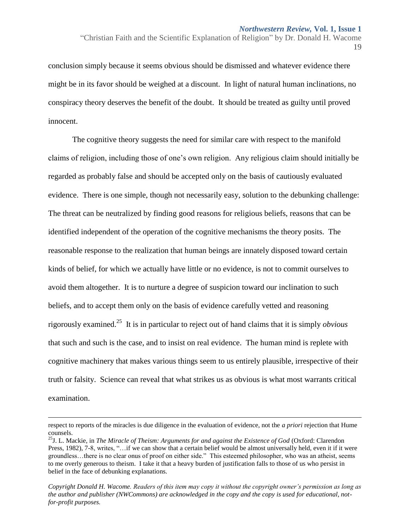conclusion simply because it seems obvious should be dismissed and whatever evidence there might be in its favor should be weighed at a discount. In light of natural human inclinations, no conspiracy theory deserves the benefit of the doubt. It should be treated as guilty until proved innocent.

The cognitive theory suggests the need for similar care with respect to the manifold claims of religion, including those of one's own religion. Any religious claim should initially be regarded as probably false and should be accepted only on the basis of cautiously evaluated evidence. There is one simple, though not necessarily easy, solution to the debunking challenge: The threat can be neutralized by finding good reasons for religious beliefs, reasons that can be identified independent of the operation of the cognitive mechanisms the theory posits. The reasonable response to the realization that human beings are innately disposed toward certain kinds of belief, for which we actually have little or no evidence, is not to commit ourselves to avoid them altogether. It is to nurture a degree of suspicion toward our inclination to such beliefs, and to accept them only on the basis of evidence carefully vetted and reasoning rigorously examined.<sup>25</sup> It is in particular to reject out of hand claims that it is simply *obvious* that such and such is the case, and to insist on real evidence. The human mind is replete with cognitive machinery that makes various things seem to us entirely plausible, irrespective of their truth or falsity. Science can reveal that what strikes us as obvious is what most warrants critical examination.

 $\overline{a}$ 

<sup>&</sup>quot;Christian Faith and the Scientific Explanation of Religion" by Dr. Donald H. Wacome 19

respect to reports of the miracles is due diligence in the evaluation of evidence, not the *a priori* rejection that Hume counsels.

<sup>25</sup>J. L. Mackie, in *The Miracle of Theism: Arguments for and against the Existence of God* (Oxford: Clarendon Press, 1982), 7-8, writes, "…if we can show that a certain belief would be almost universally held, even it if it were groundless…there is no clear onus of proof on either side." This esteemed philosopher, who was an atheist, seems to me overly generous to theism. I take it that a heavy burden of justification falls to those of us who persist in belief in the face of debunking explanations.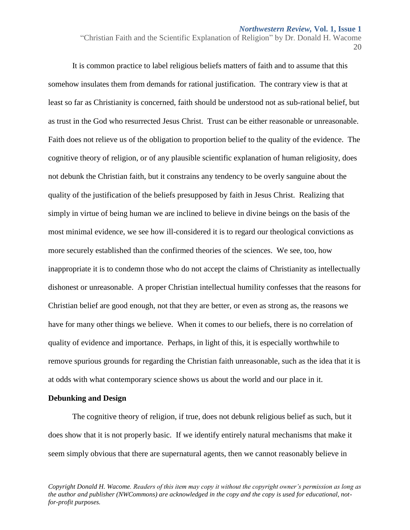"Christian Faith and the Scientific Explanation of Religion" by Dr. Donald H. Wacome 20

It is common practice to label religious beliefs matters of faith and to assume that this somehow insulates them from demands for rational justification. The contrary view is that at least so far as Christianity is concerned, faith should be understood not as sub-rational belief, but as trust in the God who resurrected Jesus Christ. Trust can be either reasonable or unreasonable. Faith does not relieve us of the obligation to proportion belief to the quality of the evidence. The cognitive theory of religion, or of any plausible scientific explanation of human religiosity, does not debunk the Christian faith, but it constrains any tendency to be overly sanguine about the quality of the justification of the beliefs presupposed by faith in Jesus Christ. Realizing that simply in virtue of being human we are inclined to believe in divine beings on the basis of the most minimal evidence, we see how ill-considered it is to regard our theological convictions as more securely established than the confirmed theories of the sciences. We see, too, how inappropriate it is to condemn those who do not accept the claims of Christianity as intellectually dishonest or unreasonable. A proper Christian intellectual humility confesses that the reasons for Christian belief are good enough, not that they are better, or even as strong as, the reasons we have for many other things we believe. When it comes to our beliefs, there is no correlation of quality of evidence and importance. Perhaps, in light of this, it is especially worthwhile to remove spurious grounds for regarding the Christian faith unreasonable, such as the idea that it is at odds with what contemporary science shows us about the world and our place in it.

## **Debunking and Design**

The cognitive theory of religion, if true, does not debunk religious belief as such, but it does show that it is not properly basic. If we identify entirely natural mechanisms that make it seem simply obvious that there are supernatural agents, then we cannot reasonably believe in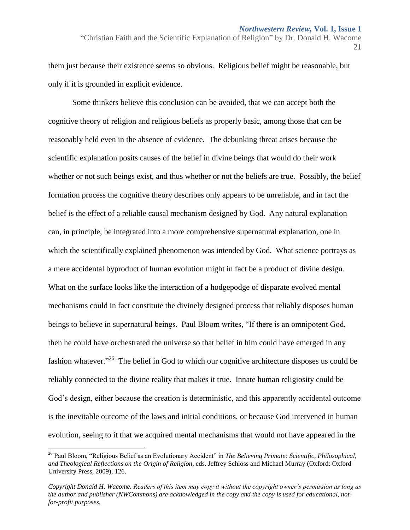"Christian Faith and the Scientific Explanation of Religion" by Dr. Donald H. Wacome 21

them just because their existence seems so obvious. Religious belief might be reasonable, but only if it is grounded in explicit evidence.

Some thinkers believe this conclusion can be avoided, that we can accept both the cognitive theory of religion and religious beliefs as properly basic, among those that can be reasonably held even in the absence of evidence. The debunking threat arises because the scientific explanation posits causes of the belief in divine beings that would do their work whether or not such beings exist, and thus whether or not the beliefs are true. Possibly, the belief formation process the cognitive theory describes only appears to be unreliable, and in fact the belief is the effect of a reliable causal mechanism designed by God. Any natural explanation can, in principle, be integrated into a more comprehensive supernatural explanation, one in which the scientifically explained phenomenon was intended by God. What science portrays as a mere accidental byproduct of human evolution might in fact be a product of divine design. What on the surface looks like the interaction of a hodgepodge of disparate evolved mental mechanisms could in fact constitute the divinely designed process that reliably disposes human beings to believe in supernatural beings. Paul Bloom writes, "If there is an omnipotent God, then he could have orchestrated the universe so that belief in him could have emerged in any fashion whatever.<sup>226</sup> The belief in God to which our cognitive architecture disposes us could be reliably connected to the divine reality that makes it true. Innate human religiosity could be God's design, either because the creation is deterministic, and this apparently accidental outcome is the inevitable outcome of the laws and initial conditions, or because God intervened in human evolution, seeing to it that we acquired mental mechanisms that would not have appeared in the

 $\overline{a}$ 

<sup>26</sup> Paul Bloom, "Religious Belief as an Evolutionary Accident" in *The Believing Primate: Scientific, Philosophical, and Theological Reflections on the Origin of Religion*, eds. Jeffrey Schloss and Michael Murray (Oxford: Oxford University Press, 2009), 126.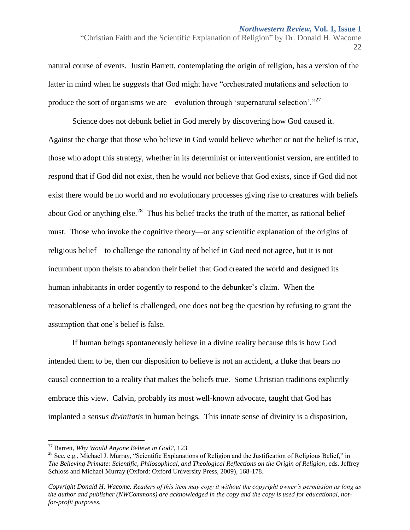natural course of events. Justin Barrett, contemplating the origin of religion, has a version of the latter in mind when he suggests that God might have "orchestrated mutations and selection to produce the sort of organisms we are—evolution through 'supernatural selection'."<sup>27</sup>

Science does not debunk belief in God merely by discovering how God caused it. Against the charge that those who believe in God would believe whether or not the belief is true, those who adopt this strategy, whether in its determinist or interventionist version, are entitled to respond that if God did not exist, then he would *not* believe that God exists, since if God did not exist there would be no world and no evolutionary processes giving rise to creatures with beliefs about God or anything else.<sup>28</sup> Thus his belief tracks the truth of the matter, as rational belief must. Those who invoke the cognitive theory—or any scientific explanation of the origins of religious belief—to challenge the rationality of belief in God need not agree, but it is not incumbent upon theists to abandon their belief that God created the world and designed its human inhabitants in order cogently to respond to the debunker's claim. When the reasonableness of a belief is challenged, one does not beg the question by refusing to grant the assumption that one's belief is false.

If human beings spontaneously believe in a divine reality because this is how God intended them to be, then our disposition to believe is not an accident, a fluke that bears no causal connection to a reality that makes the beliefs true. Some Christian traditions explicitly embrace this view. Calvin, probably its most well-known advocate, taught that God has implanted a *sensus divinitatis* in human beings*.* This innate sense of divinity is a disposition,

 $\overline{a}$ 

<sup>&</sup>quot;Christian Faith and the Scientific Explanation of Religion" by Dr. Donald H. Wacome 22

<sup>27</sup> Barrett*, Why Would Anyone Believe in God?*, 123.

 $^{28}$  See, e.g., Michael J. Murray, "Scientific Explanations of Religion and the Justification of Religious Belief," in *The Believing Primate: Scientific, Philosophical, and Theological Reflections on the Origin of Religion*, eds. Jeffrey Schloss and Michael Murray (Oxford: Oxford University Press, 2009), 168-178.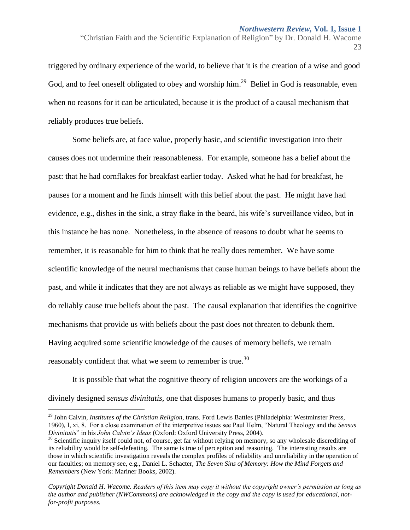"Christian Faith and the Scientific Explanation of Religion" by Dr. Donald H. Wacome 23

triggered by ordinary experience of the world, to believe that it is the creation of a wise and good God, and to feel oneself obligated to obey and worship him.<sup>29</sup> Belief in God is reasonable, even when no reasons for it can be articulated, because it is the product of a causal mechanism that reliably produces true beliefs.

Some beliefs are, at face value, properly basic, and scientific investigation into their causes does not undermine their reasonableness. For example, someone has a belief about the past: that he had cornflakes for breakfast earlier today. Asked what he had for breakfast, he pauses for a moment and he finds himself with this belief about the past. He might have had evidence, e.g., dishes in the sink, a stray flake in the beard, his wife's surveillance video, but in this instance he has none. Nonetheless, in the absence of reasons to doubt what he seems to remember, it is reasonable for him to think that he really does remember. We have some scientific knowledge of the neural mechanisms that cause human beings to have beliefs about the past, and while it indicates that they are not always as reliable as we might have supposed, they do reliably cause true beliefs about the past. The causal explanation that identifies the cognitive mechanisms that provide us with beliefs about the past does not threaten to debunk them. Having acquired some scientific knowledge of the causes of memory beliefs, we remain reasonably confident that what we seem to remember is true.<sup>30</sup>

It is possible that what the cognitive theory of religion uncovers are the workings of a divinely designed *sensus divinitatis,* one that disposes humans to properly basic, and thus

 $\overline{a}$ 

<sup>29</sup> John Calvin, *Institutes of the Christian Religion*, trans. Ford Lewis Battles (Philadelphia: Westminster Press, 1960), I, xi, 8. For a close examination of the interpretive issues see Paul Helm, "Natural Theology and the *Sensus Divinitatis*" in his *John Calvin's Ideas* (Oxford: Oxford University Press, 2004).

<sup>&</sup>lt;sup>30</sup> Scientific inquiry itself could not, of course, get far without relying on memory, so any wholesale discrediting of its reliability would be self-defeating. The same is true of perception and reasoning. The interesting results are those in which scientific investigation reveals the complex profiles of reliability and unreliability in the operation of our faculties; on memory see, e.g., Daniel L. Schacter, *The Seven Sins of Memory: How the Mind Forgets and Remembers* (New York: Mariner Books, 2002).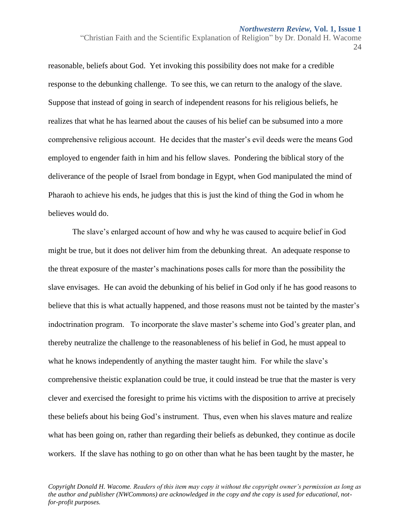"Christian Faith and the Scientific Explanation of Religion" by Dr. Donald H. Wacome 24

reasonable, beliefs about God. Yet invoking this possibility does not make for a credible response to the debunking challenge. To see this, we can return to the analogy of the slave. Suppose that instead of going in search of independent reasons for his religious beliefs, he realizes that what he has learned about the causes of his belief can be subsumed into a more comprehensive religious account. He decides that the master's evil deeds were the means God employed to engender faith in him and his fellow slaves. Pondering the biblical story of the deliverance of the people of Israel from bondage in Egypt, when God manipulated the mind of Pharaoh to achieve his ends, he judges that this is just the kind of thing the God in whom he believes would do.

The slave's enlarged account of how and why he was caused to acquire belief in God might be true, but it does not deliver him from the debunking threat. An adequate response to the threat exposure of the master's machinations poses calls for more than the possibility the slave envisages. He can avoid the debunking of his belief in God only if he has good reasons to believe that this is what actually happened, and those reasons must not be tainted by the master's indoctrination program. To incorporate the slave master's scheme into God's greater plan, and thereby neutralize the challenge to the reasonableness of his belief in God, he must appeal to what he knows independently of anything the master taught him. For while the slave's comprehensive theistic explanation could be true, it could instead be true that the master is very clever and exercised the foresight to prime his victims with the disposition to arrive at precisely these beliefs about his being God's instrument. Thus, even when his slaves mature and realize what has been going on, rather than regarding their beliefs as debunked, they continue as docile workers. If the slave has nothing to go on other than what he has been taught by the master, he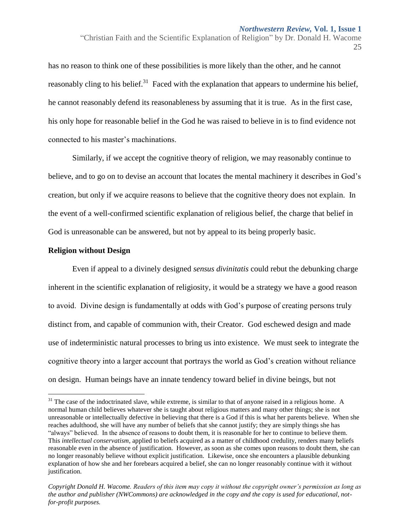"Christian Faith and the Scientific Explanation of Religion" by Dr. Donald H. Wacome 25

has no reason to think one of these possibilities is more likely than the other, and he cannot reasonably cling to his belief.<sup>31</sup> Faced with the explanation that appears to undermine his belief, he cannot reasonably defend its reasonableness by assuming that it is true. As in the first case, his only hope for reasonable belief in the God he was raised to believe in is to find evidence not connected to his master's machinations.

Similarly, if we accept the cognitive theory of religion, we may reasonably continue to believe, and to go on to devise an account that locates the mental machinery it describes in God's creation, but only if we acquire reasons to believe that the cognitive theory does not explain. In the event of a well-confirmed scientific explanation of religious belief, the charge that belief in God is unreasonable can be answered, but not by appeal to its being properly basic.

## **Religion without Design**

 $\overline{a}$ 

Even if appeal to a divinely designed *sensus divinitatis* could rebut the debunking charge inherent in the scientific explanation of religiosity, it would be a strategy we have a good reason to avoid. Divine design is fundamentally at odds with God's purpose of creating persons truly distinct from, and capable of communion with, their Creator. God eschewed design and made use of indeterministic natural processes to bring us into existence. We must seek to integrate the cognitive theory into a larger account that portrays the world as God's creation without reliance on design. Human beings have an innate tendency toward belief in divine beings, but not

 $31$  The case of the indoctrinated slave, while extreme, is similar to that of anyone raised in a religious home. A normal human child believes whatever she is taught about religious matters and many other things; she is not unreasonable or intellectually defective in believing that there is a God if this is what her parents believe. When she reaches adulthood, she will have any number of beliefs that she cannot justify; they are simply things she has "always" believed. In the absence of reasons to doubt them, it is reasonable for her to continue to believe them. This *intellectual conservatism*, applied to beliefs acquired as a matter of childhood credulity, renders many beliefs reasonable even in the absence of justification. However, as soon as she comes upon reasons to doubt them, she can no longer reasonably believe without explicit justification. Likewise, once she encounters a plausible debunking explanation of how she and her forebears acquired a belief, she can no longer reasonably continue with it without justification.

*Copyright Donald H. Wacome. Readers of this item may copy it without the copyright owner's permission as long as the author and publisher (NWCommons) are acknowledged in the copy and the copy is used for educational, notfor-profit purposes.*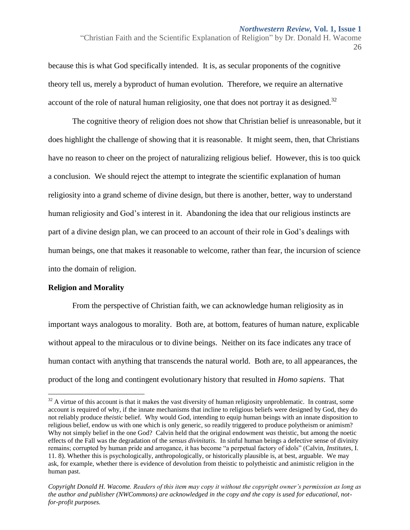"Christian Faith and the Scientific Explanation of Religion" by Dr. Donald H. Wacome 26

because this is what God specifically intended. It is, as secular proponents of the cognitive theory tell us, merely a byproduct of human evolution. Therefore, we require an alternative account of the role of natural human religiosity, one that does not portray it as designed.<sup>32</sup>

The cognitive theory of religion does not show that Christian belief is unreasonable, but it does highlight the challenge of showing that it is reasonable. It might seem, then, that Christians have no reason to cheer on the project of naturalizing religious belief. However, this is too quick a conclusion. We should reject the attempt to integrate the scientific explanation of human religiosity into a grand scheme of divine design, but there is another, better, way to understand human religiosity and God's interest in it. Abandoning the idea that our religious instincts are part of a divine design plan, we can proceed to an account of their role in God's dealings with human beings, one that makes it reasonable to welcome, rather than fear, the incursion of science into the domain of religion.

## **Religion and Morality**

 $\overline{a}$ 

From the perspective of Christian faith, we can acknowledge human religiosity as in important ways analogous to morality. Both are, at bottom, features of human nature, explicable without appeal to the miraculous or to divine beings. Neither on its face indicates any trace of human contact with anything that transcends the natural world. Both are, to all appearances, the product of the long and contingent evolutionary history that resulted in *Homo sapiens*. That

 $32$  A virtue of this account is that it makes the vast diversity of human religiosity unproblematic. In contrast, some account is required of why, if the innate mechanisms that incline to religious beliefs were designed by God, they do not reliably produce *theistic* belief. Why would God, intending to equip human beings with an innate disposition to religious belief, endow us with one which is only generic, so readily triggered to produce polytheism or animism? Why not simply belief in the one God? Calvin held that the original endowment *was* theistic, but among the noetic effects of the Fall was the degradation of the *sensus divinitatis*. In sinful human beings a defective sense of divinity remains; corrupted by human pride and arrogance, it has become "a perpetual factory of idols" (Calvin, *Institutes*, I. 11. 8). Whether this is psychologically, anthropologically, or historically plausible is, at best, arguable. We may ask, for example, whether there is evidence of devolution from theistic to polytheistic and animistic religion in the human past.

*Copyright Donald H. Wacome. Readers of this item may copy it without the copyright owner's permission as long as the author and publisher (NWCommons) are acknowledged in the copy and the copy is used for educational, notfor-profit purposes.*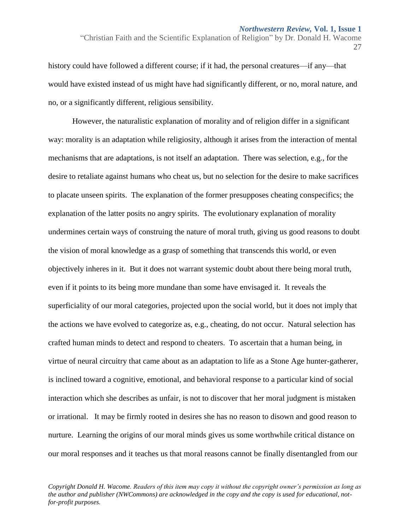history could have followed a different course; if it had, the personal creatures—if any—that would have existed instead of us might have had significantly different, or no, moral nature, and no, or a significantly different, religious sensibility.

However, the naturalistic explanation of morality and of religion differ in a significant way: morality is an adaptation while religiosity, although it arises from the interaction of mental mechanisms that are adaptations, is not itself an adaptation. There was selection, e.g., for the desire to retaliate against humans who cheat us, but no selection for the desire to make sacrifices to placate unseen spirits. The explanation of the former presupposes cheating conspecifics; the explanation of the latter posits no angry spirits. The evolutionary explanation of morality undermines certain ways of construing the nature of moral truth, giving us good reasons to doubt the vision of moral knowledge as a grasp of something that transcends this world, or even objectively inheres in it. But it does not warrant systemic doubt about there being moral truth, even if it points to its being more mundane than some have envisaged it. It reveals the superficiality of our moral categories, projected upon the social world, but it does not imply that the actions we have evolved to categorize as, e.g., cheating, do not occur. Natural selection has crafted human minds to detect and respond to cheaters. To ascertain that a human being, in virtue of neural circuitry that came about as an adaptation to life as a Stone Age hunter-gatherer, is inclined toward a cognitive, emotional, and behavioral response to a particular kind of social interaction which she describes as unfair, is not to discover that her moral judgment is mistaken or irrational. It may be firmly rooted in desires she has no reason to disown and good reason to nurture. Learning the origins of our moral minds gives us some worthwhile critical distance on our moral responses and it teaches us that moral reasons cannot be finally disentangled from our

<sup>&</sup>quot;Christian Faith and the Scientific Explanation of Religion" by Dr. Donald H. Wacome 27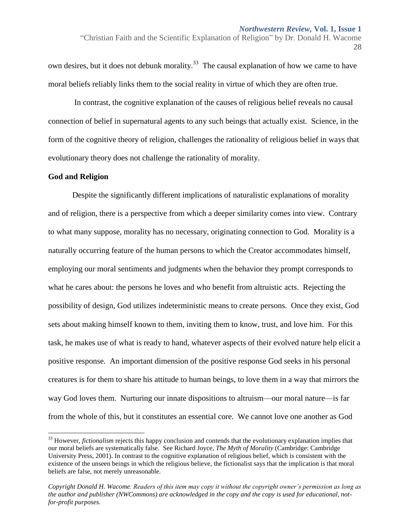"Christian Faith and the Scientific Explanation of Religion" by Dr. Donald H. Wacome 28

own desires, but it does not debunk morality.<sup>33</sup> The causal explanation of how we came to have moral beliefs reliably links them to the social reality in virtue of which they are often true.

In contrast, the cognitive explanation of the causes of religious belief reveals no causal connection of belief in supernatural agents to any such beings that actually exist. Science, in the form of the cognitive theory of religion, challenges the rationality of religious belief in ways that evolutionary theory does not challenge the rationality of morality.

## **God and Religion**

 $\overline{a}$ 

Despite the significantly different implications of naturalistic explanations of morality and of religion, there is a perspective from which a deeper similarity comes into view. Contrary to what many suppose, morality has no necessary, originating connection to God. Morality is a naturally occurring feature of the human persons to which the Creator accommodates himself, employing our moral sentiments and judgments when the behavior they prompt corresponds to what he cares about: the persons he loves and who benefit from altruistic acts. Rejecting the possibility of design, God utilizes indeterministic means to create persons. Once they exist, God sets about making himself known to them, inviting them to know, trust, and love him. For this task, he makes use of what is ready to hand, whatever aspects of their evolved nature help elicit a positive response. An important dimension of the positive response God seeks in his personal creatures is for them to share his attitude to human beings, to love them in a way that mirrors the way God loves them. Nurturing our innate dispositions to altruism—our moral nature—is far from the whole of this, but it constitutes an essential core. We cannot love one another as God

<sup>&</sup>lt;sup>33</sup> However, *fictionalism* rejects this happy conclusion and contends that the evolutionary explanation implies that our moral beliefs are systematically false. See Richard Joyce, *The Myth of Morality* (Cambridge: Cambridge University Press, 2001). In contrast to the cognitive explanation of religious belief, which is consistent with the existence of the unseen beings in which the religious believe, the fictionalist says that the implication is that moral beliefs are false, not merely unreasonable.

*Copyright Donald H. Wacome. Readers of this item may copy it without the copyright owner's permission as long as the author and publisher (NWCommons) are acknowledged in the copy and the copy is used for educational, notfor-profit purposes.*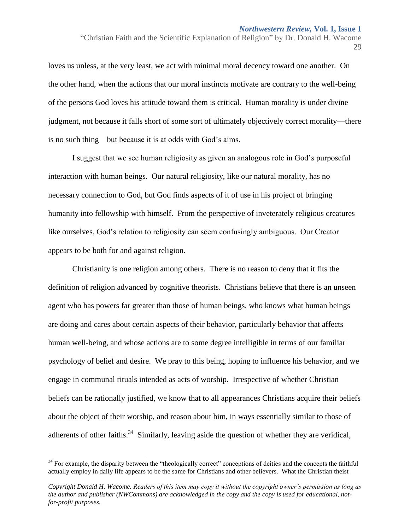"Christian Faith and the Scientific Explanation of Religion" by Dr. Donald H. Wacome 29

loves us unless, at the very least, we act with minimal moral decency toward one another. On the other hand, when the actions that our moral instincts motivate are contrary to the well-being of the persons God loves his attitude toward them is critical. Human morality is under divine judgment, not because it falls short of some sort of ultimately objectively correct morality—there is no such thing—but because it is at odds with God's aims.

I suggest that we see human religiosity as given an analogous role in God's purposeful interaction with human beings. Our natural religiosity, like our natural morality, has no necessary connection to God, but God finds aspects of it of use in his project of bringing humanity into fellowship with himself. From the perspective of inveterately religious creatures like ourselves, God's relation to religiosity can seem confusingly ambiguous. Our Creator appears to be both for and against religion.

Christianity is one religion among others. There is no reason to deny that it fits the definition of religion advanced by cognitive theorists. Christians believe that there is an unseen agent who has powers far greater than those of human beings, who knows what human beings are doing and cares about certain aspects of their behavior, particularly behavior that affects human well-being, and whose actions are to some degree intelligible in terms of our familiar psychology of belief and desire. We pray to this being, hoping to influence his behavior, and we engage in communal rituals intended as acts of worship. Irrespective of whether Christian beliefs can be rationally justified, we know that to all appearances Christians acquire their beliefs about the object of their worship, and reason about him, in ways essentially similar to those of adherents of other faiths.<sup>34</sup> Similarly, leaving aside the question of whether they are veridical,

<sup>&</sup>lt;sup>34</sup> For example, the disparity between the "theologically correct" conceptions of deities and the concepts the faithful actually employ in daily life appears to be the same for Christians and other believers. What the Christian theist

*Copyright Donald H. Wacome. Readers of this item may copy it without the copyright owner's permission as long as the author and publisher (NWCommons) are acknowledged in the copy and the copy is used for educational, notfor-profit purposes.*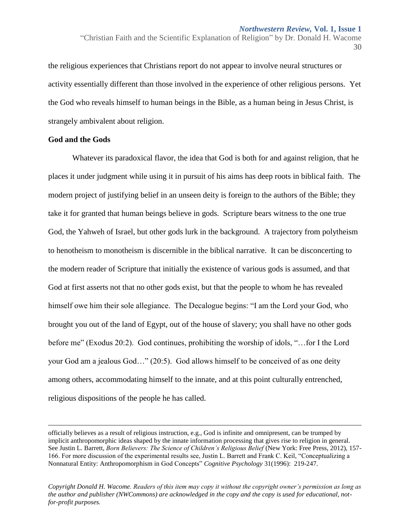the religious experiences that Christians report do not appear to involve neural structures or activity essentially different than those involved in the experience of other religious persons. Yet the God who reveals himself to human beings in the Bible, as a human being in Jesus Christ, is strangely ambivalent about religion.

## **God and the Gods**

 $\overline{a}$ 

Whatever its paradoxical flavor, the idea that God is both for and against religion, that he places it under judgment while using it in pursuit of his aims has deep roots in biblical faith. The modern project of justifying belief in an unseen deity is foreign to the authors of the Bible; they take it for granted that human beings believe in gods. Scripture bears witness to the one true God, the Yahweh of Israel, but other gods lurk in the background. A trajectory from polytheism to henotheism to monotheism is discernible in the biblical narrative. It can be disconcerting to the modern reader of Scripture that initially the existence of various gods is assumed, and that God at first asserts not that no other gods exist, but that the people to whom he has revealed himself owe him their sole allegiance. The Decalogue begins: "I am the Lord your God, who brought you out of the land of Egypt, out of the house of slavery; you shall have no other gods before me" (Exodus 20:2). God continues, prohibiting the worship of idols, "…for I the Lord your God am a jealous God…" (20:5). God allows himself to be conceived of as one deity among others, accommodating himself to the innate, and at this point culturally entrenched, religious dispositions of the people he has called.

<sup>&</sup>quot;Christian Faith and the Scientific Explanation of Religion" by Dr. Donald H. Wacome 30

officially believes as a result of religious instruction, e.g., God is infinite and omnipresent, can be trumped by implicit anthropomorphic ideas shaped by the innate information processing that gives rise to religion in general. See Justin L. Barrett, *Born Believers: The Science of Children's Religious Belief* (New York: Free Press, 2012), 157-166. For more discussion of the experimental results see, Justin L. Barrett and Frank C. Keil, "Conceptualizing a Nonnatural Entity: Anthropomorphism in God Concepts" *Cognitive Psychology* 31(1996): 219-247.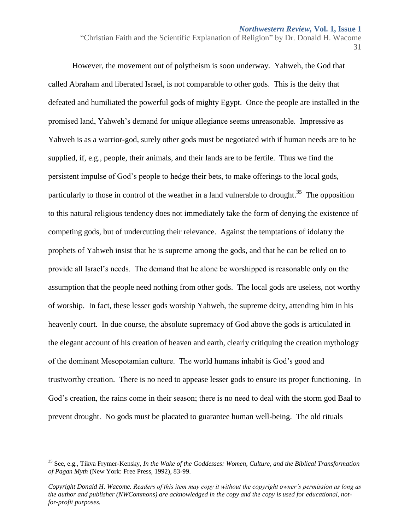"Christian Faith and the Scientific Explanation of Religion" by Dr. Donald H. Wacome 31

However, the movement out of polytheism is soon underway. Yahweh, the God that called Abraham and liberated Israel, is not comparable to other gods. This is the deity that defeated and humiliated the powerful gods of mighty Egypt. Once the people are installed in the promised land, Yahweh's demand for unique allegiance seems unreasonable. Impressive as Yahweh is as a warrior-god, surely other gods must be negotiated with if human needs are to be supplied, if, e.g., people, their animals, and their lands are to be fertile. Thus we find the persistent impulse of God's people to hedge their bets, to make offerings to the local gods, particularly to those in control of the weather in a land vulnerable to drought.<sup>35</sup> The opposition to this natural religious tendency does not immediately take the form of denying the existence of competing gods, but of undercutting their relevance. Against the temptations of idolatry the prophets of Yahweh insist that he is supreme among the gods, and that he can be relied on to provide all Israel's needs. The demand that he alone be worshipped is reasonable only on the assumption that the people need nothing from other gods. The local gods are useless, not worthy of worship. In fact, these lesser gods worship Yahweh, the supreme deity, attending him in his heavenly court. In due course, the absolute supremacy of God above the gods is articulated in the elegant account of his creation of heaven and earth, clearly critiquing the creation mythology of the dominant Mesopotamian culture. The world humans inhabit is God's good and trustworthy creation. There is no need to appease lesser gods to ensure its proper functioning. In God's creation, the rains come in their season; there is no need to deal with the storm god Baal to prevent drought. No gods must be placated to guarantee human well-being. The old rituals

<sup>35</sup> See, e.g., Tikva Frymer-Kensky, *In the Wake of the Goddesses: Women, Culture, and the Biblical Transformation of Pagan Myth* (New York: Free Press, 1992), 83-99.

*Copyright Donald H. Wacome. Readers of this item may copy it without the copyright owner's permission as long as the author and publisher (NWCommons) are acknowledged in the copy and the copy is used for educational, notfor-profit purposes.*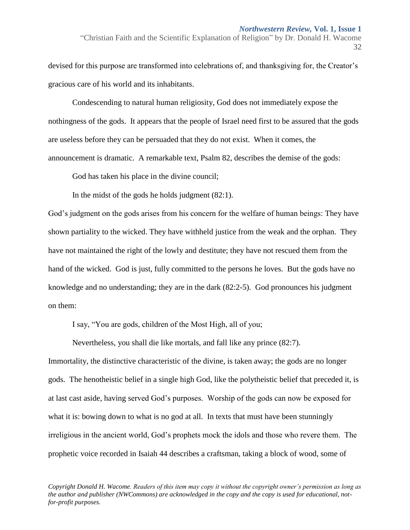"Christian Faith and the Scientific Explanation of Religion" by Dr. Donald H. Wacome 32

devised for this purpose are transformed into celebrations of, and thanksgiving for, the Creator's gracious care of his world and its inhabitants.

Condescending to natural human religiosity, God does not immediately expose the nothingness of the gods. It appears that the people of Israel need first to be assured that the gods are useless before they can be persuaded that they do not exist. When it comes, the announcement is dramatic. A remarkable text, Psalm 82, describes the demise of the gods:

God has taken his place in the divine council;

In the midst of the gods he holds judgment (82:1).

God's judgment on the gods arises from his concern for the welfare of human beings: They have shown partiality to the wicked. They have withheld justice from the weak and the orphan. They have not maintained the right of the lowly and destitute; they have not rescued them from the hand of the wicked. God is just, fully committed to the persons he loves. But the gods have no knowledge and no understanding; they are in the dark (82:2-5). God pronounces his judgment on them:

I say, "You are gods, children of the Most High, all of you;

Nevertheless, you shall die like mortals, and fall like any prince (82:7).

Immortality, the distinctive characteristic of the divine, is taken away; the gods are no longer gods. The henotheistic belief in a single high God, like the polytheistic belief that preceded it, is at last cast aside, having served God's purposes. Worship of the gods can now be exposed for what it is: bowing down to what is no god at all. In texts that must have been stunningly irreligious in the ancient world, God's prophets mock the idols and those who revere them. The prophetic voice recorded in Isaiah 44 describes a craftsman, taking a block of wood, some of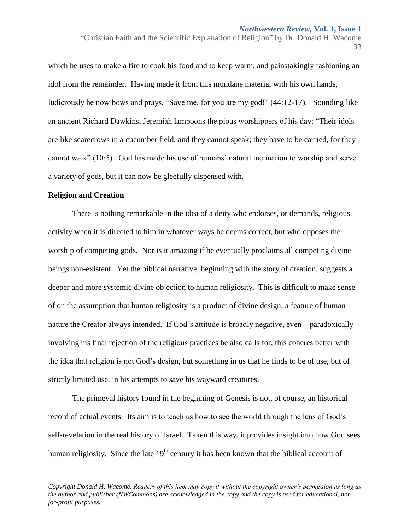"Christian Faith and the Scientific Explanation of Religion" by Dr. Donald H. Wacome 33

which he uses to make a fire to cook his food and to keep warm, and painstakingly fashioning an idol from the remainder. Having made it from this mundane material with his own hands, ludicrously he now bows and prays, "Save me, for you are my god!" (44:12-17). Sounding like an ancient Richard Dawkins, Jeremiah lampoons the pious worshippers of his day: "Their idols are like scarecrows in a cucumber field, and they cannot speak; they have to be carried, for they cannot walk" (10:5). God has made his use of humans' natural inclination to worship and serve a variety of gods, but it can now be gleefully dispensed with.

## **Religion and Creation**

There is nothing remarkable in the idea of a deity who endorses, or demands, religious activity when it is directed to him in whatever ways he deems correct, but who opposes the worship of competing gods. Nor is it amazing if he eventually proclaims all competing divine beings non-existent. Yet the biblical narrative, beginning with the story of creation, suggests a deeper and more systemic divine objection to human religiosity. This is difficult to make sense of on the assumption that human religiosity is a product of divine design, a feature of human nature the Creator always intended. If God's attitude is broadly negative, even—paradoxically involving his final rejection of the religious practices he also calls for, this coheres better with the idea that religion is not God's design, but something in us that he finds to be of use, but of strictly limited use, in his attempts to save his wayward creatures.

The primeval history found in the beginning of Genesis is not, of course, an historical record of actual events. Its aim is to teach us how to see the world through the lens of God's self-revelation in the real history of Israel. Taken this way, it provides insight into how God sees human religiosity. Since the late  $19<sup>th</sup>$  century it has been known that the biblical account of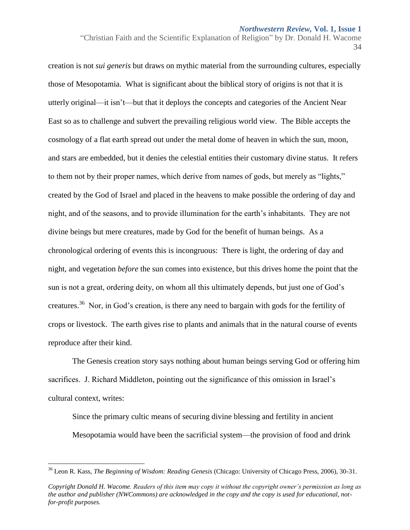"Christian Faith and the Scientific Explanation of Religion" by Dr. Donald H. Wacome 34

creation is not *sui generis* but draws on mythic material from the surrounding cultures, especially those of Mesopotamia. What is significant about the biblical story of origins is not that it is utterly original—it isn't—but that it deploys the concepts and categories of the Ancient Near East so as to challenge and subvert the prevailing religious world view. The Bible accepts the cosmology of a flat earth spread out under the metal dome of heaven in which the sun, moon, and stars are embedded, but it denies the celestial entities their customary divine status. It refers to them not by their proper names, which derive from names of gods, but merely as "lights," created by the God of Israel and placed in the heavens to make possible the ordering of day and night, and of the seasons, and to provide illumination for the earth's inhabitants. They are not divine beings but mere creatures, made by God for the benefit of human beings. As a chronological ordering of events this is incongruous: There is light, the ordering of day and night, and vegetation *before* the sun comes into existence, but this drives home the point that the sun is not a great, ordering deity, on whom all this ultimately depends, but just one of God's creatures.<sup>36</sup> Nor, in God's creation, is there any need to bargain with gods for the fertility of crops or livestock. The earth gives rise to plants and animals that in the natural course of events reproduce after their kind.

The Genesis creation story says nothing about human beings serving God or offering him sacrifices. J. Richard Middleton, pointing out the significance of this omission in Israel's cultural context, writes:

Since the primary cultic means of securing divine blessing and fertility in ancient Mesopotamia would have been the sacrificial system—the provision of food and drink

 $\overline{a}$ 

<sup>36</sup> Leon R. Kass, *The Beginning of Wisdom: Reading Genesis* (Chicago: University of Chicago Press, 2006), 30-31.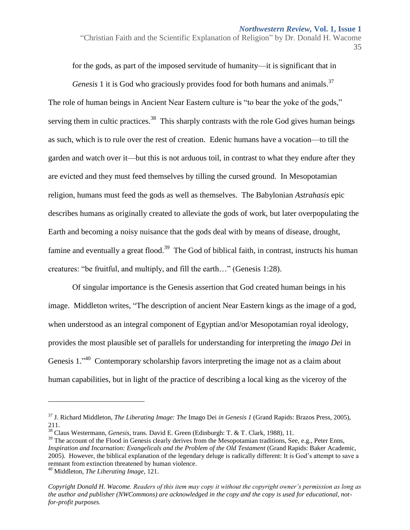"Christian Faith and the Scientific Explanation of Religion" by Dr. Donald H. Wacome 35

for the gods, as part of the imposed servitude of humanity—it is significant that in

*Genesis* 1 it is God who graciously provides food for both humans and animals.<sup>37</sup> The role of human beings in Ancient Near Eastern culture is "to bear the yoke of the gods," serving them in cultic practices.<sup>38</sup> This sharply contrasts with the role God gives human beings as such, which is to rule over the rest of creation. Edenic humans have a vocation—to till the garden and watch over it—but this is not arduous toil, in contrast to what they endure after they are evicted and they must feed themselves by tilling the cursed ground. In Mesopotamian religion, humans must feed the gods as well as themselves. The Babylonian *Astrahasis* epic describes humans as originally created to alleviate the gods of work, but later overpopulating the Earth and becoming a noisy nuisance that the gods deal with by means of disease, drought, famine and eventually a great flood.<sup>39</sup> The God of biblical faith, in contrast, instructs his human creatures: "be fruitful, and multiply, and fill the earth…" (Genesis 1:28).

Of singular importance is the Genesis assertion that God created human beings in his image. Middleton writes, "The description of ancient Near Eastern kings as the image of a god, when understood as an integral component of Egyptian and/or Mesopotamian royal ideology, provides the most plausible set of parallels for understanding for interpreting the *imago Dei* in Genesis 1. $1^{340}$  Contemporary scholarship favors interpreting the image not as a claim about human capabilities, but in light of the practice of describing a local king as the viceroy of the

<sup>37</sup> J. Richard Middleton, *The Liberating Image: The* Imago Dei *in Genesis 1* (Grand Rapids: Brazos Press, 2005), 211.

<sup>38</sup> Claus Westermann, *Genesis,* trans. David E. Green (Edinburgh: T. & T. Clark, 1988), 11.

 $39$  The account of the Flood in Genesis clearly derives from the Mesopotamian traditions, See, e.g., Peter Enns, *Inspiration and Incarnation: Evangelicals and the Problem of the Old Testament* (Grand Rapids: Baker Academic, 2005). However, the biblical explanation of the legendary deluge is radically different: It is God's attempt to save a remnant from extinction threatened by human violence.

<sup>40</sup> Middleton, *The Liberating Image*, 121.

*Copyright Donald H. Wacome. Readers of this item may copy it without the copyright owner's permission as long as the author and publisher (NWCommons) are acknowledged in the copy and the copy is used for educational, notfor-profit purposes.*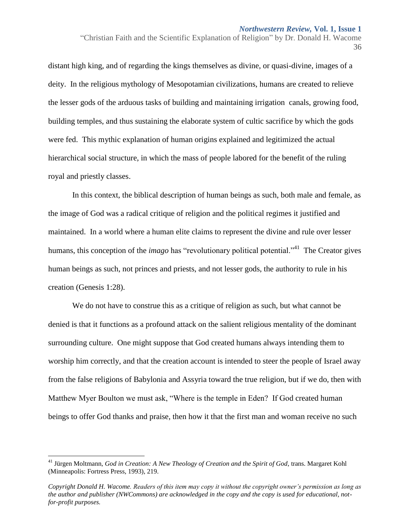"Christian Faith and the Scientific Explanation of Religion" by Dr. Donald H. Wacome 36

distant high king, and of regarding the kings themselves as divine, or quasi-divine, images of a deity. In the religious mythology of Mesopotamian civilizations, humans are created to relieve the lesser gods of the arduous tasks of building and maintaining irrigation canals, growing food, building temples, and thus sustaining the elaborate system of cultic sacrifice by which the gods were fed. This mythic explanation of human origins explained and legitimized the actual hierarchical social structure, in which the mass of people labored for the benefit of the ruling royal and priestly classes.

In this context, the biblical description of human beings as such, both male and female, as the image of God was a radical critique of religion and the political regimes it justified and maintained. In a world where a human elite claims to represent the divine and rule over lesser humans, this conception of the *imago* has "revolutionary political potential."<sup>41</sup> The Creator gives human beings as such, not princes and priests, and not lesser gods, the authority to rule in his creation (Genesis 1:28).

We do not have to construe this as a critique of religion as such, but what cannot be denied is that it functions as a profound attack on the salient religious mentality of the dominant surrounding culture. One might suppose that God created humans always intending them to worship him correctly, and that the creation account is intended to steer the people of Israel away from the false religions of Babylonia and Assyria toward the true religion, but if we do, then with Matthew Myer Boulton we must ask, "Where is the temple in Eden? If God created human beings to offer God thanks and praise, then how it that the first man and woman receive no such

<sup>41</sup> Jürgen Moltmann, *God in Creation: A New Theology of Creation and the Spirit of God*, trans. Margaret Kohl (Minneapolis: Fortress Press, 1993), 219.

*Copyright Donald H. Wacome. Readers of this item may copy it without the copyright owner's permission as long as the author and publisher (NWCommons) are acknowledged in the copy and the copy is used for educational, notfor-profit purposes.*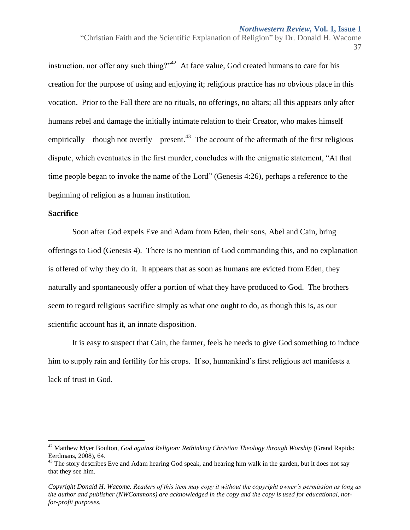"Christian Faith and the Scientific Explanation of Religion" by Dr. Donald H. Wacome 37

instruction, nor offer any such thing?" $42$  At face value, God created humans to care for his creation for the purpose of using and enjoying it; religious practice has no obvious place in this vocation. Prior to the Fall there are no rituals, no offerings, no altars; all this appears only after humans rebel and damage the initially intimate relation to their Creator, who makes himself empirically—though not overtly—present.<sup>43</sup> The account of the aftermath of the first religious dispute, which eventuates in the first murder, concludes with the enigmatic statement, "At that time people began to invoke the name of the Lord" (Genesis 4:26), perhaps a reference to the beginning of religion as a human institution.

## **Sacrifice**

 $\overline{a}$ 

Soon after God expels Eve and Adam from Eden, their sons, Abel and Cain, bring offerings to God (Genesis 4). There is no mention of God commanding this, and no explanation is offered of why they do it. It appears that as soon as humans are evicted from Eden, they naturally and spontaneously offer a portion of what they have produced to God. The brothers seem to regard religious sacrifice simply as what one ought to do, as though this is, as our scientific account has it, an innate disposition.

It is easy to suspect that Cain, the farmer, feels he needs to give God something to induce him to supply rain and fertility for his crops. If so, humankind's first religious act manifests a lack of trust in God.

<sup>42</sup> Matthew Myer Boulton, *God against Religion: Rethinking Christian Theology through Worship* (Grand Rapids: Eerdmans, 2008), 64.

<sup>&</sup>lt;sup>43</sup> The story describes Eve and Adam hearing God speak, and hearing him walk in the garden, but it does not say that they see him.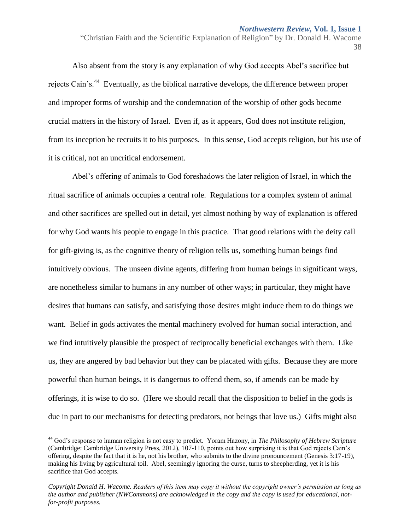Also absent from the story is any explanation of why God accepts Abel's sacrifice but rejects Cain's.<sup>44</sup> Eventually, as the biblical narrative develops, the difference between proper and improper forms of worship and the condemnation of the worship of other gods become crucial matters in the history of Israel. Even if, as it appears, God does not institute religion, from its inception he recruits it to his purposes. In this sense, God accepts religion, but his use of it is critical, not an uncritical endorsement.

Abel's offering of animals to God foreshadows the later religion of Israel, in which the ritual sacrifice of animals occupies a central role. Regulations for a complex system of animal and other sacrifices are spelled out in detail, yet almost nothing by way of explanation is offered for why God wants his people to engage in this practice. That good relations with the deity call for gift-giving is, as the cognitive theory of religion tells us, something human beings find intuitively obvious. The unseen divine agents, differing from human beings in significant ways, are nonetheless similar to humans in any number of other ways; in particular, they might have desires that humans can satisfy, and satisfying those desires might induce them to do things we want. Belief in gods activates the mental machinery evolved for human social interaction, and we find intuitively plausible the prospect of reciprocally beneficial exchanges with them. Like us, they are angered by bad behavior but they can be placated with gifts. Because they are more powerful than human beings, it is dangerous to offend them, so, if amends can be made by offerings, it is wise to do so. (Here we should recall that the disposition to belief in the gods is due in part to our mechanisms for detecting predators, not beings that love us.) Gifts might also

<sup>&</sup>quot;Christian Faith and the Scientific Explanation of Religion" by Dr. Donald H. Wacome 38

<sup>44</sup> God's response to human religion is not easy to predict. Yoram Hazony, in *The Philosophy of Hebrew Scripture* (Cambridge: Cambridge University Press, 2012), 107-110, points out how surprising it is that God rejects Cain's offering, despite the fact that it is he, not his brother, who submits to the divine pronouncement (Genesis 3:17-19), making his living by agricultural toil. Abel, seemingly ignoring the curse, turns to sheepherding, yet it is his sacrifice that God accepts.

*Copyright Donald H. Wacome. Readers of this item may copy it without the copyright owner's permission as long as the author and publisher (NWCommons) are acknowledged in the copy and the copy is used for educational, notfor-profit purposes.*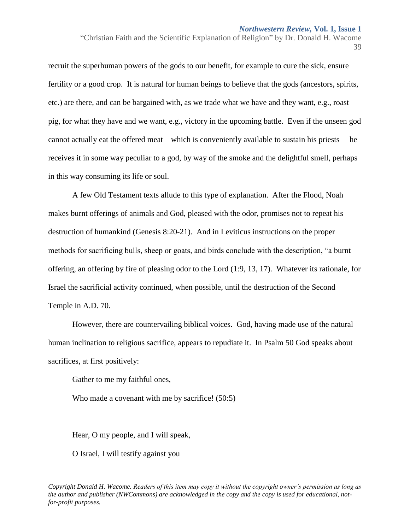"Christian Faith and the Scientific Explanation of Religion" by Dr. Donald H. Wacome 39

recruit the superhuman powers of the gods to our benefit, for example to cure the sick, ensure fertility or a good crop. It is natural for human beings to believe that the gods (ancestors, spirits, etc.) are there, and can be bargained with, as we trade what we have and they want, e.g., roast pig, for what they have and we want, e.g., victory in the upcoming battle. Even if the unseen god cannot actually eat the offered meat—which is conveniently available to sustain his priests —he receives it in some way peculiar to a god, by way of the smoke and the delightful smell, perhaps in this way consuming its life or soul.

A few Old Testament texts allude to this type of explanation. After the Flood, Noah makes burnt offerings of animals and God, pleased with the odor, promises not to repeat his destruction of humankind (Genesis 8:20-21). And in Leviticus instructions on the proper methods for sacrificing bulls, sheep or goats, and birds conclude with the description, "a burnt offering, an offering by fire of pleasing odor to the Lord (1:9, 13, 17). Whatever its rationale, for Israel the sacrificial activity continued, when possible, until the destruction of the Second Temple in A.D. 70.

However, there are countervailing biblical voices. God, having made use of the natural human inclination to religious sacrifice, appears to repudiate it. In Psalm 50 God speaks about sacrifices, at first positively:

Gather to me my faithful ones,

Who made a covenant with me by sacrifice! (50:5)

Hear, O my people, and I will speak,

O Israel, I will testify against you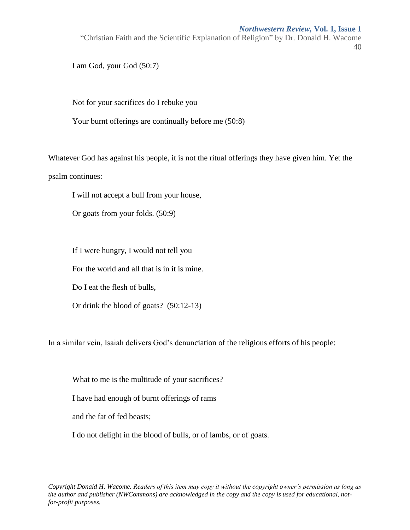"Christian Faith and the Scientific Explanation of Religion" by Dr. Donald H. Wacome 40

I am God, your God (50:7)

Not for your sacrifices do I rebuke you

Your burnt offerings are continually before me (50:8)

Whatever God has against his people, it is not the ritual offerings they have given him. Yet the psalm continues:

I will not accept a bull from your house,

Or goats from your folds. (50:9)

If I were hungry, I would not tell you

For the world and all that is in it is mine.

Do I eat the flesh of bulls,

Or drink the blood of goats? (50:12-13)

In a similar vein, Isaiah delivers God's denunciation of the religious efforts of his people:

What to me is the multitude of your sacrifices?

I have had enough of burnt offerings of rams

and the fat of fed beasts;

I do not delight in the blood of bulls, or of lambs, or of goats.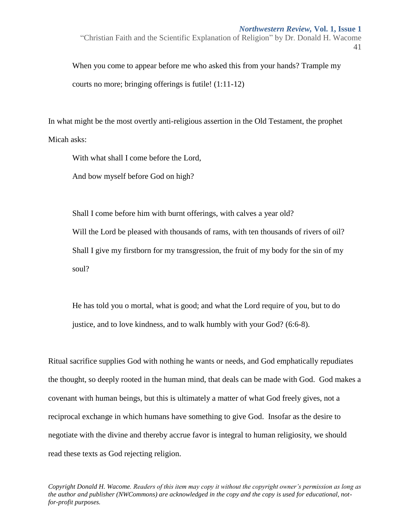"Christian Faith and the Scientific Explanation of Religion" by Dr. Donald H. Wacome 41

When you come to appear before me who asked this from your hands? Trample my courts no more; bringing offerings is futile! (1:11-12)

In what might be the most overtly anti-religious assertion in the Old Testament, the prophet Micah asks:

With what shall I come before the Lord,

And bow myself before God on high?

Shall I come before him with burnt offerings, with calves a year old? Will the Lord be pleased with thousands of rams, with ten thousands of rivers of oil? Shall I give my firstborn for my transgression, the fruit of my body for the sin of my soul?

He has told you o mortal, what is good; and what the Lord require of you, but to do justice, and to love kindness, and to walk humbly with your God? (6:6-8).

Ritual sacrifice supplies God with nothing he wants or needs, and God emphatically repudiates the thought, so deeply rooted in the human mind, that deals can be made with God. God makes a covenant with human beings, but this is ultimately a matter of what God freely gives, not a reciprocal exchange in which humans have something to give God. Insofar as the desire to negotiate with the divine and thereby accrue favor is integral to human religiosity, we should read these texts as God rejecting religion.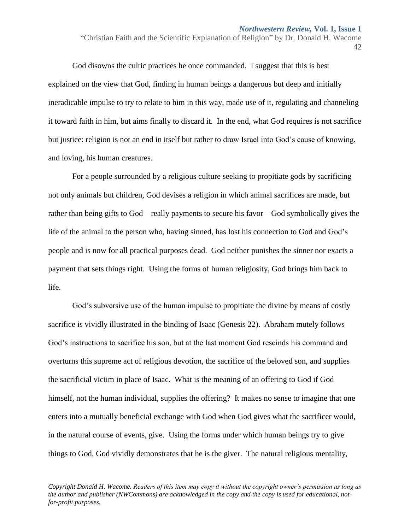"Christian Faith and the Scientific Explanation of Religion" by Dr. Donald H. Wacome 42

God disowns the cultic practices he once commanded. I suggest that this is best explained on the view that God, finding in human beings a dangerous but deep and initially ineradicable impulse to try to relate to him in this way, made use of it, regulating and channeling it toward faith in him, but aims finally to discard it. In the end, what God requires is not sacrifice but justice: religion is not an end in itself but rather to draw Israel into God's cause of knowing, and loving, his human creatures.

For a people surrounded by a religious culture seeking to propitiate gods by sacrificing not only animals but children, God devises a religion in which animal sacrifices are made, but rather than being gifts to God—really payments to secure his favor—God symbolically gives the life of the animal to the person who, having sinned, has lost his connection to God and God's people and is now for all practical purposes dead. God neither punishes the sinner nor exacts a payment that sets things right. Using the forms of human religiosity, God brings him back to life.

God's subversive use of the human impulse to propitiate the divine by means of costly sacrifice is vividly illustrated in the binding of Isaac (Genesis 22). Abraham mutely follows God's instructions to sacrifice his son, but at the last moment God rescinds his command and overturns this supreme act of religious devotion, the sacrifice of the beloved son, and supplies the sacrificial victim in place of Isaac. What is the meaning of an offering to God if God himself, not the human individual, supplies the offering? It makes no sense to imagine that one enters into a mutually beneficial exchange with God when God gives what the sacrificer would, in the natural course of events, give. Using the forms under which human beings try to give things to God, God vividly demonstrates that he is the giver. The natural religious mentality,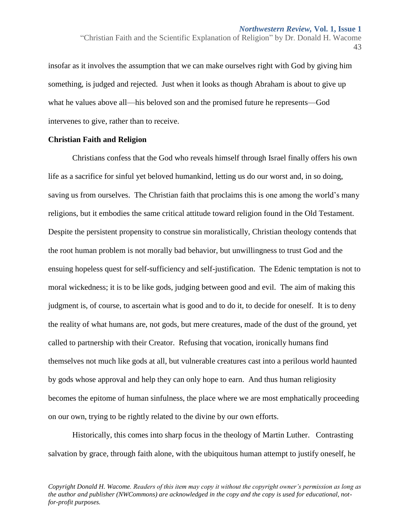insofar as it involves the assumption that we can make ourselves right with God by giving him something, is judged and rejected. Just when it looks as though Abraham is about to give up what he values above all—his beloved son and the promised future he represents—God intervenes to give, rather than to receive.

## **Christian Faith and Religion**

Christians confess that the God who reveals himself through Israel finally offers his own life as a sacrifice for sinful yet beloved humankind, letting us do our worst and, in so doing, saving us from ourselves. The Christian faith that proclaims this is one among the world's many religions, but it embodies the same critical attitude toward religion found in the Old Testament. Despite the persistent propensity to construe sin moralistically, Christian theology contends that the root human problem is not morally bad behavior, but unwillingness to trust God and the ensuing hopeless quest for self-sufficiency and self-justification. The Edenic temptation is not to moral wickedness; it is to be like gods, judging between good and evil. The aim of making this judgment is, of course, to ascertain what is good and to do it, to decide for oneself. It is to deny the reality of what humans are, not gods, but mere creatures, made of the dust of the ground, yet called to partnership with their Creator. Refusing that vocation, ironically humans find themselves not much like gods at all, but vulnerable creatures cast into a perilous world haunted by gods whose approval and help they can only hope to earn. And thus human religiosity becomes the epitome of human sinfulness, the place where we are most emphatically proceeding on our own, trying to be rightly related to the divine by our own efforts.

Historically, this comes into sharp focus in the theology of Martin Luther. Contrasting salvation by grace, through faith alone, with the ubiquitous human attempt to justify oneself, he

<sup>&</sup>quot;Christian Faith and the Scientific Explanation of Religion" by Dr. Donald H. Wacome 43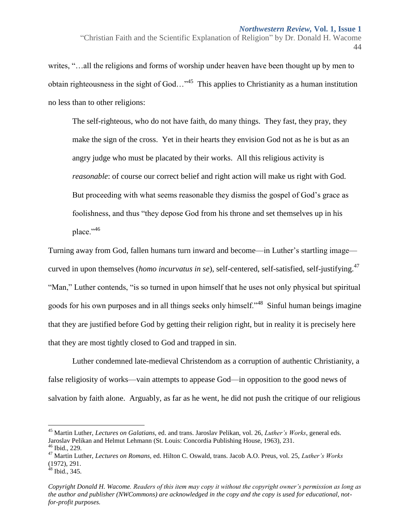writes, "…all the religions and forms of worship under heaven have been thought up by men to obtain righteousness in the sight of God..."<sup>45</sup> This applies to Christianity as a human institution no less than to other religions:

The self-righteous, who do not have faith, do many things. They fast, they pray, they make the sign of the cross. Yet in their hearts they envision God not as he is but as an angry judge who must be placated by their works. All this religious activity is *reasonable*: of course our correct belief and right action will make us right with God. But proceeding with what seems reasonable they dismiss the gospel of God's grace as foolishness, and thus "they depose God from his throne and set themselves up in his place."<sup>46</sup>

Turning away from God, fallen humans turn inward and become—in Luther's startling image curved in upon themselves (*homo incurvatus in se*), self-centered, self-satisfied, self-justifying.<sup>47</sup> "Man," Luther contends, "is so turned in upon himself that he uses not only physical but spiritual goods for his own purposes and in all things seeks only himself."<sup>48</sup> Sinful human beings imagine that they are justified before God by getting their religion right, but in reality it is precisely here that they are most tightly closed to God and trapped in sin.

Luther condemned late-medieval Christendom as a corruption of authentic Christianity, a false religiosity of works—vain attempts to appease God—in opposition to the good news of salvation by faith alone. Arguably, as far as he went, he did not push the critique of our religious

<sup>&</sup>quot;Christian Faith and the Scientific Explanation of Religion" by Dr. Donald H. Wacome 44

<sup>45</sup> Martin Luther, *Lectures on Galatians,* ed. and trans. Jaroslav Pelikan, vol. 26, *Luther's Works*, general eds. Jaroslav Pelikan and Helmut Lehmann (St. Louis: Concordia Publishing House, 1963), 231.

 $46$  Ibid., 229.

<sup>47</sup> Martin Luther, *Lectures on Romans,* ed. Hilton C. Oswald, trans. Jacob A.O. Preus, vol. 25, *Luther's Works* (1972), 291.

 $48$  Ibid., 345.

*Copyright Donald H. Wacome. Readers of this item may copy it without the copyright owner's permission as long as the author and publisher (NWCommons) are acknowledged in the copy and the copy is used for educational, notfor-profit purposes.*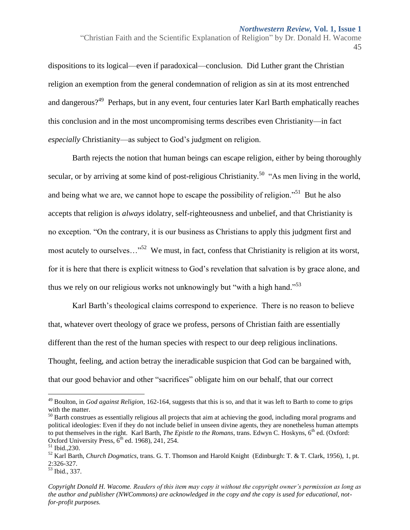dispositions to its logical—even if paradoxical—conclusion. Did Luther grant the Christian religion an exemption from the general condemnation of religion as sin at its most entrenched and dangerous?<sup>49</sup> Perhaps, but in any event, four centuries later Karl Barth emphatically reaches this conclusion and in the most uncompromising terms describes even Christianity—in fact *especially* Christianity—as subject to God's judgment on religion.

Barth rejects the notion that human beings can escape religion, either by being thoroughly secular, or by arriving at some kind of post-religious Christianity.<sup>50</sup> "As men living in the world, and being what we are, we cannot hope to escape the possibility of religion."<sup>51</sup> But he also accepts that religion is *always* idolatry, self-righteousness and unbelief, and that Christianity is no exception. "On the contrary, it is our business as Christians to apply this judgment first and most acutely to ourselves..."<sup>52</sup> We must, in fact, confess that Christianity is religion at its worst, for it is here that there is explicit witness to God's revelation that salvation is by grace alone, and thus we rely on our religious works not unknowingly but "with a high hand."<sup>53</sup>

Karl Barth's theological claims correspond to experience. There is no reason to believe that, whatever overt theology of grace we profess, persons of Christian faith are essentially different than the rest of the human species with respect to our deep religious inclinations. Thought, feeling, and action betray the ineradicable suspicion that God can be bargained with, that our good behavior and other "sacrifices" obligate him on our behalf, that our correct

<sup>&</sup>quot;Christian Faith and the Scientific Explanation of Religion" by Dr. Donald H. Wacome 45

<sup>49</sup> Boulton, in *God against Religion,* 162-164, suggests that this is so, and that it was left to Barth to come to grips with the matter.

<sup>&</sup>lt;sup>50</sup> Barth construes as essentially religious all projects that aim at achieving the good, including moral programs and political ideologies: Even if they do not include belief in unseen divine agents, they are nonetheless human attempts to put themselves in the right. Karl Barth, *The Epistle to the Romans*, trans. Edwyn C. Hoskyns, 6<sup>th</sup> ed. (Oxford: Oxford University Press,  $6<sup>th</sup>$  ed. 1968), 241, 254.

<sup>51</sup> Ibid.,230.

<sup>52</sup> Karl Barth, *Church Dogmatics*, trans. G. T. Thomson and Harold Knight (Edinburgh: T. & T. Clark, 1956), 1, pt. 2:326-327.

<sup>53</sup> Ibid., 337.

*Copyright Donald H. Wacome. Readers of this item may copy it without the copyright owner's permission as long as the author and publisher (NWCommons) are acknowledged in the copy and the copy is used for educational, notfor-profit purposes.*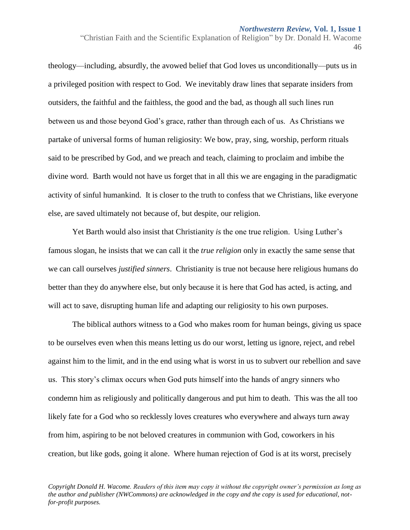"Christian Faith and the Scientific Explanation of Religion" by Dr. Donald H. Wacome 46

theology—including, absurdly, the avowed belief that God loves us unconditionally—puts us in a privileged position with respect to God. We inevitably draw lines that separate insiders from outsiders, the faithful and the faithless, the good and the bad, as though all such lines run between us and those beyond God's grace, rather than through each of us. As Christians we partake of universal forms of human religiosity: We bow, pray, sing, worship, perform rituals said to be prescribed by God, and we preach and teach, claiming to proclaim and imbibe the divine word. Barth would not have us forget that in all this we are engaging in the paradigmatic activity of sinful humankind. It is closer to the truth to confess that we Christians, like everyone else, are saved ultimately not because of, but despite, our religion.

Yet Barth would also insist that Christianity *is* the one true religion. Using Luther's famous slogan, he insists that we can call it the *true religion* only in exactly the same sense that we can call ourselves *justified sinners*. Christianity is true not because here religious humans do better than they do anywhere else, but only because it is here that God has acted, is acting, and will act to save, disrupting human life and adapting our religiosity to his own purposes.

The biblical authors witness to a God who makes room for human beings, giving us space to be ourselves even when this means letting us do our worst, letting us ignore, reject, and rebel against him to the limit, and in the end using what is worst in us to subvert our rebellion and save us. This story's climax occurs when God puts himself into the hands of angry sinners who condemn him as religiously and politically dangerous and put him to death. This was the all too likely fate for a God who so recklessly loves creatures who everywhere and always turn away from him, aspiring to be not beloved creatures in communion with God, coworkers in his creation, but like gods, going it alone. Where human rejection of God is at its worst, precisely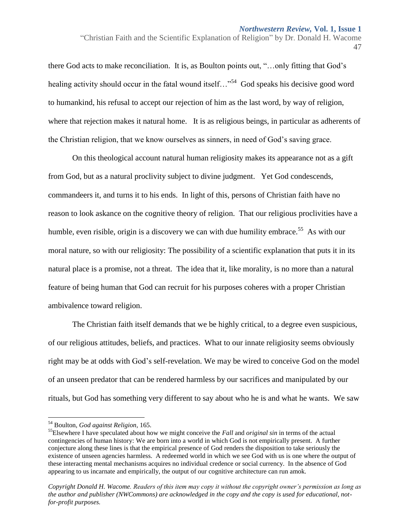"Christian Faith and the Scientific Explanation of Religion" by Dr. Donald H. Wacome 47

there God acts to make reconciliation. It is, as Boulton points out, "…only fitting that God's healing activity should occur in the fatal wound itself..."<sup>54</sup> God speaks his decisive good word to humankind, his refusal to accept our rejection of him as the last word, by way of religion, where that rejection makes it natural home. It is as religious beings, in particular as adherents of the Christian religion, that we know ourselves as sinners, in need of God's saving grace.

On this theological account natural human religiosity makes its appearance not as a gift from God, but as a natural proclivity subject to divine judgment. Yet God condescends, commandeers it, and turns it to his ends. In light of this, persons of Christian faith have no reason to look askance on the cognitive theory of religion. That our religious proclivities have a humble, even risible, origin is a discovery we can with due humility embrace.<sup>55</sup> As with our moral nature, so with our religiosity: The possibility of a scientific explanation that puts it in its natural place is a promise, not a threat. The idea that it, like morality, is no more than a natural feature of being human that God can recruit for his purposes coheres with a proper Christian ambivalence toward religion.

The Christian faith itself demands that we be highly critical, to a degree even suspicious, of our religious attitudes, beliefs, and practices. What to our innate religiosity seems obviously right may be at odds with God's self-revelation. We may be wired to conceive God on the model of an unseen predator that can be rendered harmless by our sacrifices and manipulated by our rituals, but God has something very different to say about who he is and what he wants. We saw

<sup>54</sup> Boulton, *God against Religion*, 165.

<sup>55</sup>Elsewhere I have speculated about how we might conceive the *Fall* and *original sin* in terms of the actual contingencies of human history: We are born into a world in which God is not empirically present. A further conjecture along these lines is that the empirical presence of God renders the disposition to take seriously the existence of unseen agencies harmless. A redeemed world in which we see God with us is one where the output of these interacting mental mechanisms acquires no individual credence or social currency. In the absence of God appearing to us incarnate and empirically, the output of our cognitive architecture can run amok.

*Copyright Donald H. Wacome. Readers of this item may copy it without the copyright owner's permission as long as the author and publisher (NWCommons) are acknowledged in the copy and the copy is used for educational, notfor-profit purposes.*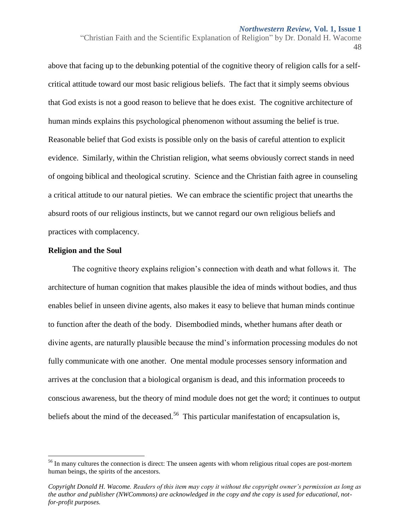"Christian Faith and the Scientific Explanation of Religion" by Dr. Donald H. Wacome 48

above that facing up to the debunking potential of the cognitive theory of religion calls for a selfcritical attitude toward our most basic religious beliefs. The fact that it simply seems obvious that God exists is not a good reason to believe that he does exist. The cognitive architecture of human minds explains this psychological phenomenon without assuming the belief is true. Reasonable belief that God exists is possible only on the basis of careful attention to explicit evidence. Similarly, within the Christian religion, what seems obviously correct stands in need of ongoing biblical and theological scrutiny. Science and the Christian faith agree in counseling a critical attitude to our natural pieties. We can embrace the scientific project that unearths the absurd roots of our religious instincts, but we cannot regard our own religious beliefs and practices with complacency.

## **Religion and the Soul**

 $\overline{a}$ 

The cognitive theory explains religion's connection with death and what follows it. The architecture of human cognition that makes plausible the idea of minds without bodies, and thus enables belief in unseen divine agents, also makes it easy to believe that human minds continue to function after the death of the body. Disembodied minds, whether humans after death or divine agents, are naturally plausible because the mind's information processing modules do not fully communicate with one another. One mental module processes sensory information and arrives at the conclusion that a biological organism is dead, and this information proceeds to conscious awareness, but the theory of mind module does not get the word; it continues to output beliefs about the mind of the deceased.<sup>56</sup> This particular manifestation of encapsulation is,

<sup>&</sup>lt;sup>56</sup> In many cultures the connection is direct: The unseen agents with whom religious ritual copes are post-mortem human beings, the spirits of the ancestors.

*Copyright Donald H. Wacome. Readers of this item may copy it without the copyright owner's permission as long as the author and publisher (NWCommons) are acknowledged in the copy and the copy is used for educational, notfor-profit purposes.*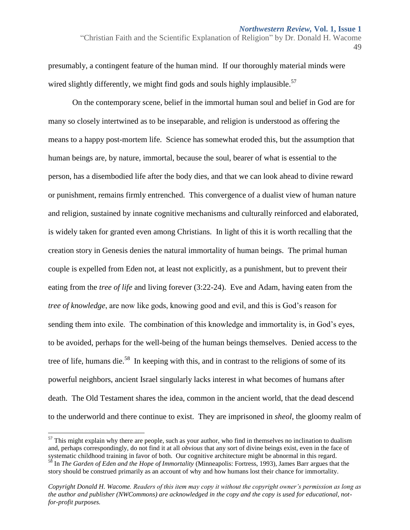"Christian Faith and the Scientific Explanation of Religion" by Dr. Donald H. Wacome 49

presumably, a contingent feature of the human mind. If our thoroughly material minds were wired slightly differently, we might find gods and souls highly implausible.<sup>57</sup>

On the contemporary scene, belief in the immortal human soul and belief in God are for many so closely intertwined as to be inseparable, and religion is understood as offering the means to a happy post-mortem life. Science has somewhat eroded this, but the assumption that human beings are, by nature, immortal, because the soul, bearer of what is essential to the person, has a disembodied life after the body dies, and that we can look ahead to divine reward or punishment, remains firmly entrenched. This convergence of a dualist view of human nature and religion, sustained by innate cognitive mechanisms and culturally reinforced and elaborated, is widely taken for granted even among Christians. In light of this it is worth recalling that the creation story in Genesis denies the natural immortality of human beings. The primal human couple is expelled from Eden not, at least not explicitly, as a punishment, but to prevent their eating from the *tree of life* and living forever (3:22-24). Eve and Adam, having eaten from the *tree of knowledge*, are now like gods, knowing good and evil, and this is God's reason for sending them into exile. The combination of this knowledge and immortality is, in God's eyes, to be avoided, perhaps for the well-being of the human beings themselves. Denied access to the tree of life, humans die.<sup>58</sup> In keeping with this, and in contrast to the religions of some of its powerful neighbors, ancient Israel singularly lacks interest in what becomes of humans after death. The Old Testament shares the idea, common in the ancient world, that the dead descend to the underworld and there continue to exist. They are imprisoned in *sheol*, the gloomy realm of

 $57$  This might explain why there are people, such as your author, who find in themselves no inclination to dualism and, perhaps correspondingly, do not find it at all *obvious* that any sort of divine beings exist, even in the face of systematic childhood training in favor of both. Our cognitive architecture might be abnormal in this regard. <sup>58</sup> In *The Garden of Eden and the Hope of Immortality* (Minneapolis: Fortress, 1993), James Barr argues that the story should be construed primarily as an account of why and how humans lost their chance for immortality.

*Copyright Donald H. Wacome. Readers of this item may copy it without the copyright owner's permission as long as the author and publisher (NWCommons) are acknowledged in the copy and the copy is used for educational, notfor-profit purposes.*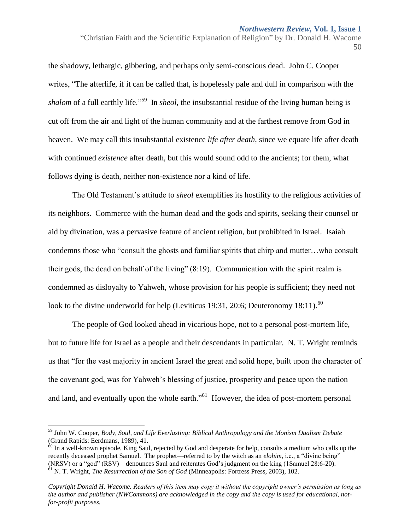"Christian Faith and the Scientific Explanation of Religion" by Dr. Donald H. Wacome 50

the shadowy, lethargic, gibbering, and perhaps only semi-conscious dead. John C. Cooper writes, "The afterlife, if it can be called that, is hopelessly pale and dull in comparison with the *shalom* of a full earthly life."<sup>59</sup> In *sheol*, the insubstantial residue of the living human being is cut off from the air and light of the human community and at the farthest remove from God in heaven. We may call this insubstantial existence *life after death*, since we equate life after death with continued *existence* after death, but this would sound odd to the ancients; for them, what follows dying is death, neither non-existence nor a kind of life.

The Old Testament's attitude to *sheol* exemplifies its hostility to the religious activities of its neighbors. Commerce with the human dead and the gods and spirits, seeking their counsel or aid by divination, was a pervasive feature of ancient religion, but prohibited in Israel. Isaiah condemns those who "consult the ghosts and familiar spirits that chirp and mutter…who consult their gods, the dead on behalf of the living" (8:19). Communication with the spirit realm is condemned as disloyalty to Yahweh, whose provision for his people is sufficient; they need not look to the divine underworld for help (Leviticus 19:31, 20:6; Deuteronomy 18:11).<sup>60</sup>

The people of God looked ahead in vicarious hope, not to a personal post-mortem life, but to future life for Israel as a people and their descendants in particular. N. T. Wright reminds us that "for the vast majority in ancient Israel the great and solid hope, built upon the character of the covenant god, was for Yahweh's blessing of justice, prosperity and peace upon the nation and land, and eventually upon the whole earth."<sup>61</sup> However, the idea of post-mortem personal

 $\overline{a}$ 

<sup>59</sup> John W. Cooper, *Body, Soul, and Life Everlasting: Biblical Anthropology and the Monism Dualism Debate*  (Grand Rapids: Eerdmans, 1989), 41.

 $60$  In a well-known episode, King Saul, rejected by God and desperate for help, consults a medium who calls up the recently deceased prophet Samuel. The prophet—referred to by the witch as an *elohim*, i.e., a "divine being" (NRSV) or a "god" (RSV)—denounces Saul and reiterates God's judgment on the king (1Samuel 28:6-20). <sup>61</sup> N. T. Wright, *The Resurrection of the Son of God* (Minneapolis: Fortress Press, 2003), 102.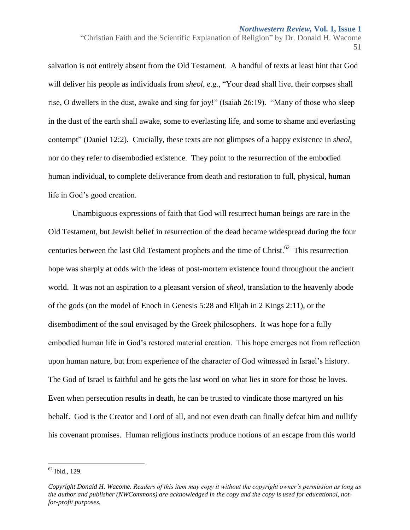"Christian Faith and the Scientific Explanation of Religion" by Dr. Donald H. Wacome 51

salvation is not entirely absent from the Old Testament. A handful of texts at least hint that God will deliver his people as individuals from *sheol*, e.g., "Your dead shall live, their corpses shall rise, O dwellers in the dust, awake and sing for joy!" (Isaiah 26:19). "Many of those who sleep in the dust of the earth shall awake, some to everlasting life, and some to shame and everlasting contempt" (Daniel 12:2). Crucially, these texts are not glimpses of a happy existence in *sheol*, nor do they refer to disembodied existence. They point to the resurrection of the embodied human individual, to complete deliverance from death and restoration to full, physical, human life in God's good creation.

Unambiguous expressions of faith that God will resurrect human beings are rare in the Old Testament, but Jewish belief in resurrection of the dead became widespread during the four centuries between the last Old Testament prophets and the time of Christ.<sup>62</sup> This resurrection hope was sharply at odds with the ideas of post-mortem existence found throughout the ancient world. It was not an aspiration to a pleasant version of *sheol*, translation to the heavenly abode of the gods (on the model of Enoch in Genesis 5:28 and Elijah in 2 Kings 2:11), or the disembodiment of the soul envisaged by the Greek philosophers. It was hope for a fully embodied human life in God's restored material creation. This hope emerges not from reflection upon human nature, but from experience of the character of God witnessed in Israel's history. The God of Israel is faithful and he gets the last word on what lies in store for those he loves. Even when persecution results in death, he can be trusted to vindicate those martyred on his behalf. God is the Creator and Lord of all, and not even death can finally defeat him and nullify his covenant promises. Human religious instincts produce notions of an escape from this world

 $62$  Ibid., 129.

*Copyright Donald H. Wacome. Readers of this item may copy it without the copyright owner's permission as long as the author and publisher (NWCommons) are acknowledged in the copy and the copy is used for educational, notfor-profit purposes.*